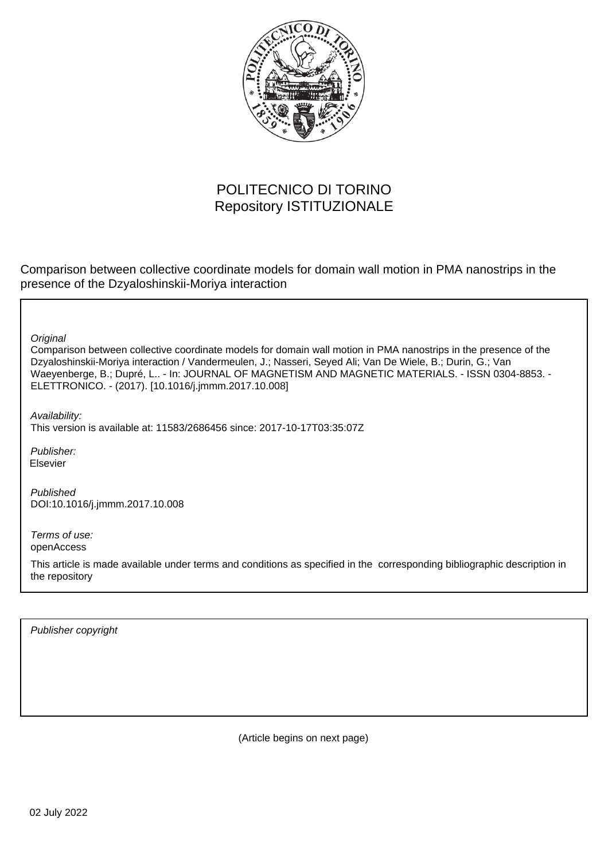

# POLITECNICO DI TORINO Repository ISTITUZIONALE

Comparison between collective coordinate models for domain wall motion in PMA nanostrips in the presence of the Dzyaloshinskii-Moriya interaction

**Original** 

Comparison between collective coordinate models for domain wall motion in PMA nanostrips in the presence of the Dzyaloshinskii-Moriya interaction / Vandermeulen, J.; Nasseri, Seyed Ali; Van De Wiele, B.; Durin, G.; Van Waeyenberge, B.; Dupré, L.. - In: JOURNAL OF MAGNETISM AND MAGNETIC MATERIALS. - ISSN 0304-8853. - ELETTRONICO. - (2017). [10.1016/j.jmmm.2017.10.008]

Availability:

This version is available at: 11583/2686456 since: 2017-10-17T03:35:07Z

Publisher: Elsevier

Published DOI:10.1016/j.jmmm.2017.10.008

Terms of use: openAccess

This article is made available under terms and conditions as specified in the corresponding bibliographic description in the repository

Publisher copyright

(Article begins on next page)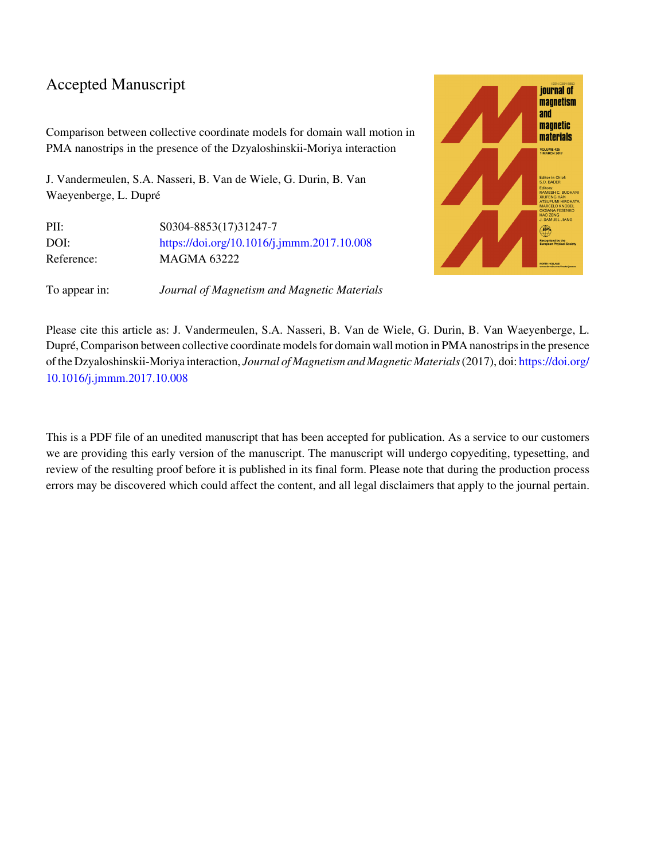# Accepted Manuscript

Comparison between collective coordinate models for domain wall motion in PMA nanostrips in the presence of the Dzyaloshinskii-Moriya interaction

J. Vandermeulen, S.A. Nasseri, B. Van de Wiele, G. Durin, B. Van Waeyenberge, L. Dupré

| \$0304-8853(17)31247-7                     |
|--------------------------------------------|
| https://doi.org/10.1016/j.jmmm.2017.10.008 |
| MAGMA 63222                                |
|                                            |





Please cite this article as: J. Vandermeulen, S.A. Nasseri, B. Van de Wiele, G. Durin, B. Van Waeyenberge, L. Dupré, Comparison between collective coordinate models for domain wall motion in PMA nanostrips in the presence of the Dzyaloshinskii-Moriya interaction, *Journal of Magnetism and Magnetic Materials* (2017), doi: [https://doi.org/](https://doi.org/10.1016/j.jmmm.2017.10.008) [10.1016/j.jmmm.2017.10.008](https://doi.org/10.1016/j.jmmm.2017.10.008)

This is a PDF file of an unedited manuscript that has been accepted for publication. As a service to our customers we are providing this early version of the manuscript. The manuscript will undergo copyediting, typesetting, and review of the resulting proof before it is published in its final form. Please note that during the production process errors may be discovered which could affect the content, and all legal disclaimers that apply to the journal pertain.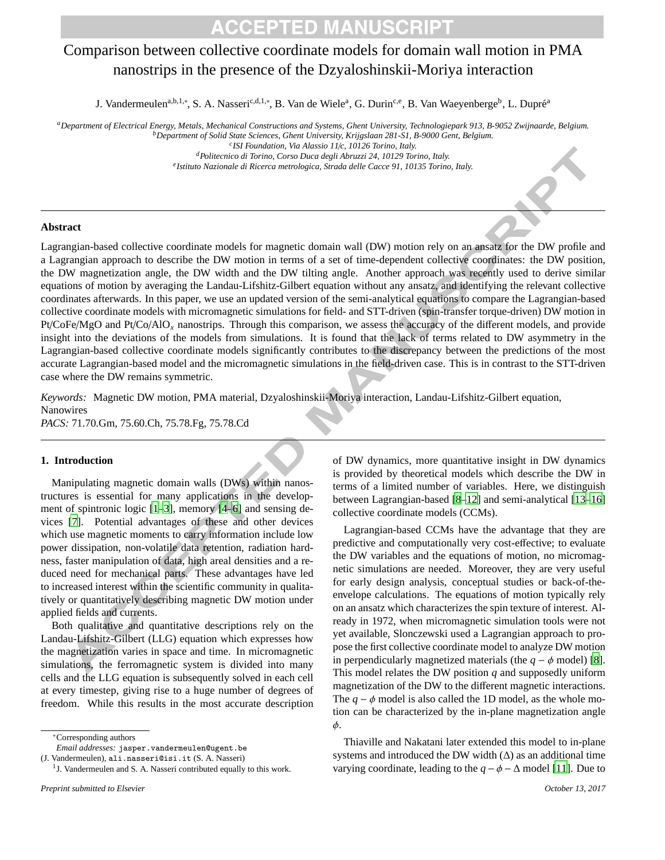# Comparison between collective coordinate models for domain wall motion in PMA nanostrips in the presence of the Dzyaloshinskii-Moriya interaction

J. Vandermeulen<sup>a,b,1,\*</sup>, S. A. Nasseri<sup>c,d,1,\*</sup>, B. Van de Wiele<sup>a</sup>, G. Durin<sup>c,e</sup>, B. Van Waeyenberge<sup>b</sup>, L. Dupré<sup>a</sup>

*<sup>a</sup>Department of Electrical Energy, Metals, Mechanical Constructions and Systems, Ghent University, Technologiepark 913, B-9052 Zwijnaarde, Belgium. <sup>b</sup>Department of Solid State Sciences, Ghent University, Krijgslaan 281-S1, B-9000 Gent, Belgium.*

*c ISI Foundation, Via Alassio 11*/*c, 10126 Torino, Italy.*

*<sup>d</sup>Politecnico di Torino, Corso Duca degli Abruzzi 24, 10129 Torino, Italy. e Istituto Nazionale di Ricerca metrologica, Strada delle Cacce 91, 10135 Torino, Italy.*

### **Abstract**

Lagrangian-based collective coordinate models for magnetic domain wall (DW) motion rely on an ansatz for the DW profile and a Lagrangian approach to describe the DW motion in terms of a set of time-dependent collective coordinates: the DW position, the DW magnetization angle, the DW width and the DW tilting angle. Another approach was recently used to derive similar equations of motion by averaging the Landau-Lifshitz-Gilbert equation without any ansatz, and identifying the relevant collective coordinates afterwards. In this paper, we use an updated version of the semi-analytical equations to compare the Lagrangian-based collective coordinate models with micromagnetic simulations for field- and STT-driven (spin-transfer torque-driven) DW motion in Pt/CoFe/MgO and Pt/Co/AlO*<sup>x</sup>* nanostrips. Through this comparison, we assess the accuracy of the different models, and provide insight into the deviations of the models from simulations. It is found that the lack of terms related to DW asymmetry in the Lagrangian-based collective coordinate models significantly contributes to the discrepancy between the predictions of the most accurate Lagrangian-based model and the micromagnetic simulations in the field-driven case. This is in contrast to the STT-driven case where the DW remains symmetric.

*Keywords:* Magnetic DW motion, PMA material, Dzyaloshinskii-Moriya interaction, Landau-Lifshitz-Gilbert equation, Nanowires

*PACS:* 71.70.Gm, 75.60.Ch, 75.78.Fg, 75.78.Cd

## **1. Introduction**

Manipulating magnetic domain walls (DWs) within nanostructures is essential for many applications in the development of spintronic logic [1–3], memory [4–6] and sensing devices [7]. Potential advantages of these and other devices which use magnetic moments to carry information include low power dissipation, non-volatile data retention, radiation hardness, faster manipulation of data, high areal densities and a reduced need for mechanical parts. These advantages have led to increased interest within the scientific community in qualitatively or quantitatively describing magnetic DW motion under applied fields and currents.

Both qualitative and quantitative descriptions rely on the Landau-Lifshitz-Gilbert (LLG) equation which expresses how the magnetization varies in space and time. In micromagnetic simulations, the ferromagnetic system is divided into many cells and the LLG equation is subsequently solved in each cell at every timestep, giving rise to a huge number of degrees of freedom. While this results in the most accurate description

∗Corresponding authors

(J. Vandermeulen), ali.nasseri@isi.it (S. A. Nasseri)

of DW dynamics, more quantitative insight in DW dynamics is provided by theoretical models which describe the DW in terms of a limited number of variables. Here, we distinguish between Lagrangian-based [8–12] and semi-analytical [13–16] collective coordinate models (CCMs).

Lagrangian-based CCMs have the advantage that they are predictive and computationally very cost-effective; to evaluate the DW variables and the equations of motion, no micromagnetic simulations are needed. Moreover, they are very useful for early design analysis, conceptual studies or back-of-theenvelope calculations. The equations of motion typically rely on an ansatz which characterizes the spin texture of interest. Already in 1972, when micromagnetic simulation tools were not yet available, Slonczewski used a Lagrangian approach to propose the first collective coordinate model to analyze DW motion in perpendicularly magnetized materials (the  $q - \phi$  model) [8]. This model relates the DW position *q* and supposedly uniform magnetization of the DW to the different magnetic interactions. The  $q - \phi$  model is also called the 1D model, as the whole motion can be characterized by the in-plane magnetization angle φ.

Thiaville and Nakatani later extended this model to in-plane systems and introduced the DW width  $(\Delta)$  as an additional time varying coordinate, leading to the  $q - \phi - \Delta$  model [11]. Due to

*Email addresses:* jasper.vandermeulen@ugent.be

<sup>&</sup>lt;sup>1</sup>J. Vandermeulen and S. A. Nasseri contributed equally to this work.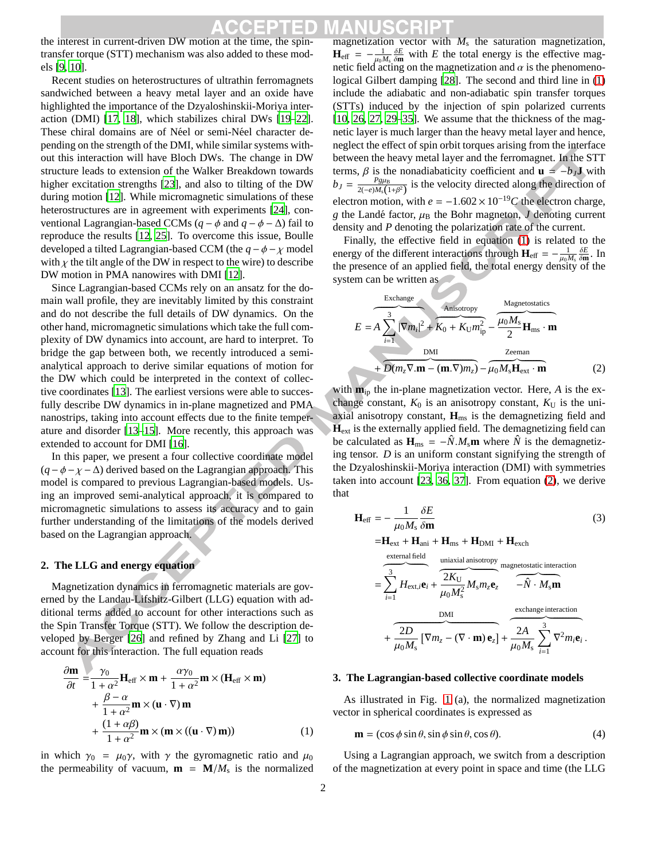the interest in current-driven DW motion at the time, the spintransfer torque (STT) mechanism was also added to these models [9, 10].

Recent studies on heterostructures of ultrathin ferromagnets sandwiched between a heavy metal layer and an oxide have highlighted the importance of the Dzyaloshinskii-Moriya interaction (DMI) [17, 18], which stabilizes chiral DWs [19–22]. These chiral domains are of Néel or semi-Néel character depending on the strength of the DMI, while similar systems without this interaction will have Bloch DWs. The change in DW structure leads to extension of the Walker Breakdown towards higher excitation strengths [23], and also to tilting of the DW during motion [12]. While micromagnetic simulations of these heterostructures are in agreement with experiments [24], conventional Lagrangian-based CCMs ( $q - \phi$  and  $q - \phi - \Delta$ ) fail to reproduce the results [12, 25]. To overcome this issue, Boulle developed a tilted Lagrangian-based CCM (the  $q - \phi - \gamma$  model with  $\chi$  the tilt angle of the DW in respect to the wire) to describe DW motion in PMA nanowires with DMI [12].

Since Lagrangian-based CCMs rely on an ansatz for the domain wall profile, they are inevitably limited by this constraint and do not describe the full details of DW dynamics. On the other hand, micromagnetic simulations which take the full complexity of DW dynamics into account, are hard to interpret. To bridge the gap between both, we recently introduced a semianalytical approach to derive similar equations of motion for the DW which could be interpreted in the context of collective coordinates [13]. The earliest versions were able to succesfully describe DW dynamics in in-plane magnetized and PMA nanostrips, taking into account effects due to the finite temperature and disorder [13–15]. More recently, this approach was extended to account for DMI [16].

In this paper, we present a four collective coordinate model  $(q - \phi - \chi - \Delta)$  derived based on the Lagrangian approach. This model is compared to previous Lagrangian-based models. Using an improved semi-analytical approach, it is compared to micromagnetic simulations to assess its accuracy and to gain further understanding of the limitations of the models derived based on the Lagrangian approach.

### **2. The LLG and energy equation**

Magnetization dynamics in ferromagnetic materials are governed by the Landau-Lifshitz-Gilbert (LLG) equation with additional terms added to account for other interactions such as the Spin Transfer Torque (STT). We follow the description developed by Berger [26] and refined by Zhang and Li [27] to account for this interaction. The full equation reads

$$
\frac{\partial \mathbf{m}}{\partial t} = \frac{\gamma_0}{1 + \alpha^2} \mathbf{H}_{\text{eff}} \times \mathbf{m} + \frac{\alpha \gamma_0}{1 + \alpha^2} \mathbf{m} \times (\mathbf{H}_{\text{eff}} \times \mathbf{m}) \n+ \frac{\beta - \alpha}{1 + \alpha^2} \mathbf{m} \times (\mathbf{u} \cdot \nabla) \mathbf{m} \n+ \frac{(1 + \alpha \beta)}{1 + \alpha^2} \mathbf{m} \times (\mathbf{m} \times ((\mathbf{u} \cdot \nabla) \mathbf{m}))
$$
\n(1)

in which  $\gamma_0 = \mu_0 \gamma$ , with  $\gamma$  the gyromagnetic ratio and  $\mu_0$ the permeability of vacuum,  $\mathbf{m} = \mathbf{M}/M_s$  is the normalized

magnetization vector with *M*<sup>s</sup> the saturation magnetization,  $\mathbf{H}_{\text{eff}} = -\frac{1}{\mu_0 M_s} \frac{\delta E}{\delta \mathbf{m}}$  with *E* the total energy is the effective magnetic field acting on the magnetization and  $\alpha$  is the phenomenological Gilbert damping [28]. The second and third line in (1) include the adiabatic and non-adiabatic spin transfer torques (STTs) induced by the injection of spin polarized currents [10, 26, 27, 29–35]. We assume that the thickness of the magnetic layer is much larger than the heavy metal layer and hence, neglect the effect of spin orbit torques arising from the interface between the heavy metal layer and the ferromagnet. In the STT terms,  $\beta$  is the nonadiabaticity coefficient and **u** = −*b*<sub>*J*</sub>**J** with  $b_J = \frac{P g \mu_B}{2(-e) M_s (1+\beta^2)}$  is the velocity directed along the direction of electron motion, with  $e = -1.602 \times 10^{-19}C$  the electron charge, *g* the Landé factor,  $\mu$ <sub>B</sub> the Bohr magneton, *J* denoting current density and *P* denoting the polarization rate of the current.

Finally, the effective field in equation  $(1)$  is related to the energy of the different interactions through  $\mathbf{H}_{\text{eff}} = -\frac{1}{\mu_0 M_s} \frac{\delta E}{\delta \mathbf{m}}$ . In the presence of an applied field, the total energy density of the system can be written as

$$
E = A \sum_{i=1}^{3} |\nabla m_i|^2 + K_0 + K_0 m_{ip}^2 - \frac{Magneto statistics}{2} \mathbf{H}_{ms} \cdot \mathbf{m}
$$
  
+ 
$$
\frac{\text{DMI}}{\mathbf{D}(m_z \nabla . \mathbf{m} - (\mathbf{m} . \nabla) m_z) - \mu_0 M_s \mathbf{H}_{ext} \cdot \mathbf{m}}
$$
(2)

with **m**ip the in-plane magnetization vector. Here, *A* is the exchange constant,  $K_0$  is an anisotropy constant,  $K_U$  is the uniaxial anisotropy constant, **H**ms is the demagnetizing field and  $\dot{H}_{ext}$  is the externally applied field. The demagnetizing field can be calculated as  $\mathbf{H}_{\text{ms}} = -\hat{N} \cdot M_{\text{s}} \mathbf{m}$  where  $\hat{N}$  is the demagnetizing tensor. *D* is an uniform constant signifying the strength of the Dzyaloshinskii-Moriya interaction (DMI) with symmetries taken into account [23, 36, 37]. From equation (2), we derive that

$$
\mathbf{H}_{\text{eff}} = -\frac{1}{\mu_0 M_s} \frac{\delta E}{\delta \mathbf{m}}
$$
(3)  
\n
$$
= \mathbf{H}_{\text{ext}} + \mathbf{H}_{\text{ani}} + \mathbf{H}_{\text{ms}} + \mathbf{H}_{\text{DMI}} + \mathbf{H}_{\text{exch}}
$$
  
\n
$$
= \sum_{i=1}^{3} H_{\text{ext},i} \mathbf{e}_i + \frac{2K_U}{\mu_0 M_s^2} M_s m_z \mathbf{e}_z
$$
 (3)  
\n
$$
+ \frac{2D}{\mu_0 M_s} [\nabla m_z - (\nabla \cdot \mathbf{m}) \mathbf{e}_z] + \frac{2A}{\mu_0 M_s} \sum_{i=1}^{3} \nabla^2 m_i \mathbf{e}_i.
$$

#### **3. The Lagrangian-based collective coordinate models**

As illustrated in Fig. 1 (a), the normalized magnetization vector in spherical coordinates is expressed as

$$
\mathbf{m} = (\cos \phi \sin \theta, \sin \phi \sin \theta, \cos \theta). \tag{4}
$$

Using a Lagrangian approach, we switch from a description of the magnetization at every point in space and time (the LLG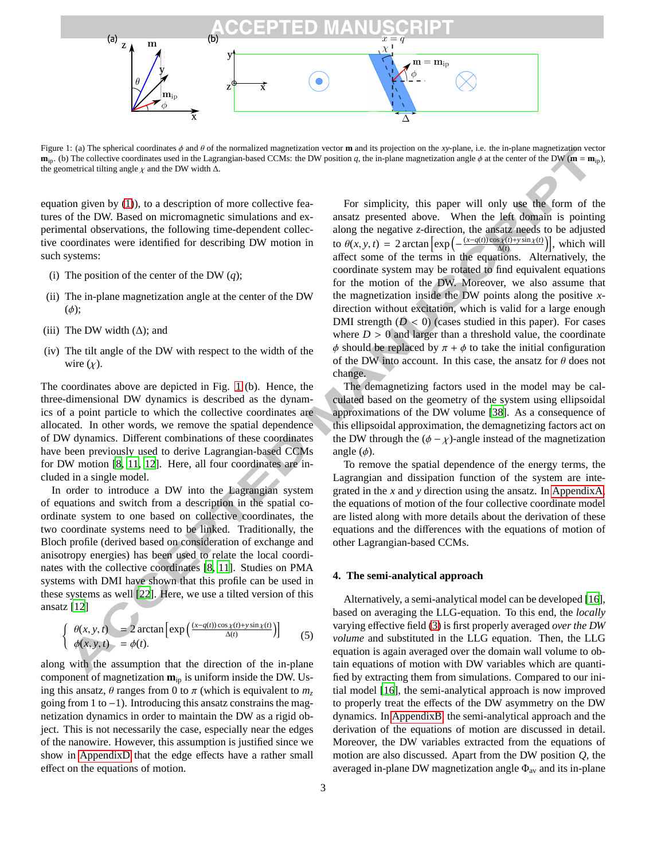

Figure 1: (a) The spherical coordinates φ and θ of the normalized magnetization vector **m** and its projection on the *xy*-plane, i.e. the in-plane magnetization vector  $\mathbf{m}_{\text{ip}}$ . (b) The collective coordinates used in the Lagrangian-based CCMs: the DW position *q*, the in-plane magnetization angle  $\phi$  at the center of the DW ( $\mathbf{m} = \mathbf{m}_{\text{ip}}$ ), the geometrical tilting angle  $\chi$  and the DW width  $\Delta$ .

equation given by (1)), to a description of more collective features of the DW. Based on micromagnetic simulations and experimental observations, the following time-dependent collective coordinates were identified for describing DW motion in such systems:

- (i) The position of the center of the DW  $(q)$ ;
- (ii) The in-plane magnetization angle at the center of the DW  $(\phi)$ ;
- (iii) The DW width  $(\Delta)$ ; and
- (iv) The tilt angle of the DW with respect to the width of the wire  $(\chi)$ .

The coordinates above are depicted in Fig. 1 (b). Hence, the three-dimensional DW dynamics is described as the dynamics of a point particle to which the collective coordinates are allocated. In other words, we remove the spatial dependence of DW dynamics. Different combinations of these coordinates have been previously used to derive Lagrangian-based CCMs for DW motion [8, 11, 12]. Here, all four coordinates are included in a single model.

In order to introduce a DW into the Lagrangian system of equations and switch from a description in the spatial coordinate system to one based on collective coordinates, the two coordinate systems need to be linked. Traditionally, the Bloch profile (derived based on consideration of exchange and anisotropy energies) has been used to relate the local coordinates with the collective coordinates [8, 11]. Studies on PMA systems with DMI have shown that this profile can be used in these systems as well [22]. Here, we use a tilted version of this ansatz [12]

$$
\begin{cases}\n\theta(x, y, t) = 2 \arctan \left[ \exp \left( \frac{(x - q(t)) \cos \chi(t) + y \sin \chi(t)}{\Delta(t)} \right) \right] \\
\phi(x, y, t) = \phi(t).\n\end{cases}
$$
\n(5)

along with the assumption that the direction of the in-plane component of magnetization **m**ip is uniform inside the DW. Using this ansatz,  $\theta$  ranges from 0 to  $\pi$  (which is equivalent to  $m_z$ ) going from 1 to −1). Introducing this ansatz constrains the magnetization dynamics in order to maintain the DW as a rigid object. This is not necessarily the case, especially near the edges of the nanowire. However, this assumption is justified since we show in AppendixD that the edge effects have a rather small effect on the equations of motion.

For simplicity, this paper will only use the form of the ansatz presented above. When the left domain is pointing along the negative *z*-direction, the ansatz needs to be adjusted to  $\theta(x, y, t) = 2 \arctan \left[ \exp \left( -\frac{(x - q(t)) \cos \chi(t) + y \sin \chi(t)}{\Delta(t)} \right) \right]$ , which will  $\Delta(t)$ affect some of the terms in the equations. Alternatively, the coordinate system may be rotated to find equivalent equations for the motion of the DW. Moreover, we also assume that the magnetization inside the DW points along the positive *x*direction without excitation, which is valid for a large enough DMI strength  $(D < 0)$  (cases studied in this paper). For cases where  $D > 0$  and larger than a threshold value, the coordinate  $\phi$  should be replaced by  $\pi + \phi$  to take the initial configuration of the DW into account. In this case, the ansatz for  $\theta$  does not change.

The demagnetizing factors used in the model may be calculated based on the geometry of the system using ellipsoidal approximations of the DW volume [38]. As a consequence of this ellipsoidal approximation, the demagnetizing factors act on the DW through the  $(\phi - \chi)$ -angle instead of the magnetization angle  $(\phi)$ .

To remove the spatial dependence of the energy terms, the Lagrangian and dissipation function of the system are integrated in the *x* and *y* direction using the ansatz. In AppendixA, the equations of motion of the four collective coordinate model are listed along with more details about the derivation of these equations and the differences with the equations of motion of other Lagrangian-based CCMs.

## **4. The semi-analytical approach**

Alternatively, a semi-analytical model can be developed [16], based on averaging the LLG-equation. To this end, the *locally* varying effective field (3) is first properly averaged *over the DW volume* and substituted in the LLG equation. Then, the LLG equation is again averaged over the domain wall volume to obtain equations of motion with DW variables which are quantified by extracting them from simulations. Compared to our initial model [16], the semi-analytical approach is now improved to properly treat the effects of the DW asymmetry on the DW dynamics. In AppendixB, the semi-analytical approach and the derivation of the equations of motion are discussed in detail. Moreover, the DW variables extracted from the equations of motion are also discussed. Apart from the DW position *Q*, the averaged in-plane DW magnetization angle  $\Phi_{av}$  and its in-plane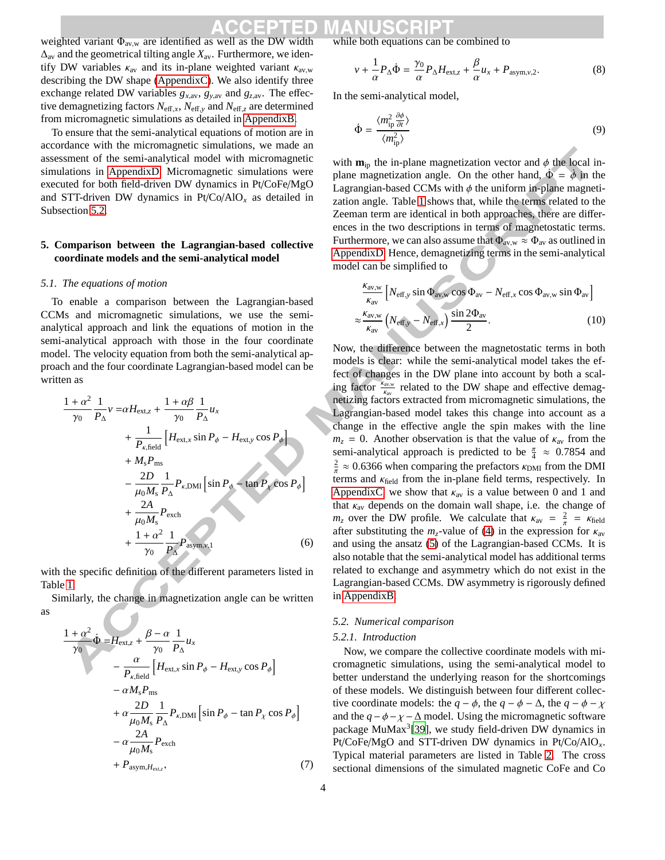weighted variant  $\Phi_{\text{av},w}$  are identified as well as the DW width ∆av and the geometrical tilting angle *X*av. Furthermore, we identify DW variables  $\kappa_{av}$  and its in-plane weighted variant  $\kappa_{av,w}$ describing the DW shape (AppendixC). We also identify three exchange related DW variables  $g_{x,av}$ ,  $g_{y,av}$  and  $g_{z,av}$ . The effective demagnetizing factors  $N_{\text{eff},x}$ ,  $N_{\text{eff},y}$  and  $N_{\text{eff},z}$  are determined from micromagnetic simulations as detailed in AppendixB.

To ensure that the semi-analytical equations of motion are in accordance with the micromagnetic simulations, we made an assessment of the semi-analytical model with micromagnetic simulations in AppendixD. Micromagnetic simulations were executed for both field-driven DW dynamics in Pt/CoFe/MgO and STT-driven DW dynamics in  $Pt/Co/AlO<sub>x</sub>$  as detailed in Subsection 5.2.

## **5. Comparison between the Lagrangian-based collective coordinate models and the semi-analytical model**

#### *5.1. The equations of motion*

To enable a comparison between the Lagrangian-based CCMs and micromagnetic simulations, we use the semianalytical approach and link the equations of motion in the semi-analytical approach with those in the four coordinate model. The velocity equation from both the semi-analytical approach and the four coordinate Lagrangian-based model can be written as

$$
\frac{1+\alpha^2}{\gamma_0} \frac{1}{P_{\Delta}} v = \alpha H_{\text{ext},z} + \frac{1+\alpha\beta}{\gamma_0} \frac{1}{P_{\Delta}} u_x
$$
  
+ 
$$
\frac{1}{P_{\kappa,\text{field}}} \left[ H_{\text{ext},x} \sin P_{\phi} - H_{\text{ext},y} \cos P_{\phi} \right]
$$
  
+ 
$$
M_{\rm s} P_{\text{ms}}
$$
  
- 
$$
\frac{2D}{\mu_0 M_{\rm s}} \frac{1}{P_{\Delta}} P_{\kappa,\text{DMI}} \left[ \sin P_{\phi} - \tan P_{\chi} \cos P_{\phi} \right]
$$
  
+ 
$$
\frac{2A}{\mu_0 M_{\rm s}} P_{\text{exch}}
$$
  
+ 
$$
\frac{1+\alpha^2}{\gamma_0} \frac{1}{P_{\Delta}} P_{\text{asym,v,1}} \tag{6}
$$

with the specific definition of the different parameters listed in Table 1.

Similarly, the change in magnetization angle can be written as

$$
\frac{1+\alpha^2}{\gamma_0} \dot{\Phi} = H_{\text{ext},z} + \frac{\beta - \alpha}{\gamma_0} \frac{1}{P_{\Delta}} u_x \n- \frac{\alpha}{P_{\kappa,\text{field}}} \left[ H_{\text{ext},x} \sin P_{\phi} - H_{\text{ext},y} \cos P_{\phi} \right] \n- \alpha M_s P_{\text{ms}} \n+ \alpha \frac{2D}{\mu_0 M_s} \frac{1}{P_{\Delta}} P_{\kappa,\text{DMI}} \left[ \sin P_{\phi} - \tan P_{\chi} \cos P_{\phi} \right] \n- \alpha \frac{2A}{\mu_0 M_s} P_{\text{exch}} \n+ P_{\text{asym},H_{\text{ext},z}}, \tag{7}
$$

while both equations can be combined to

$$
v + \frac{1}{\alpha} P_{\Delta} \dot{\Phi} = \frac{\gamma_0}{\alpha} P_{\Delta} H_{\text{ext},z} + \frac{\beta}{\alpha} u_x + P_{\text{asym},v,2}.
$$
 (8)

In the semi-analytical model,

$$
\dot{\Phi} = \frac{\langle m_{\text{ip}}^2 \frac{\partial \phi}{\partial t} \rangle}{\langle m_{\text{ip}}^2 \rangle} \tag{9}
$$

with  $\mathbf{m}_{ip}$  the in-plane magnetization vector and  $\phi$  the local inplane magnetization angle. On the other hand,  $\Phi = \dot{\phi}$  in the Lagrangian-based CCMs with  $\phi$  the uniform in-plane magnetization angle. Table 1 shows that, while the terms related to the Zeeman term are identical in both approaches, there are differences in the two descriptions in terms of magnetostatic terms. Furthermore, we can also assume that  $\Phi_{\text{av},w} \approx \Phi_{\text{av}}$  as outlined in AppendixD. Hence, demagnetizing terms in the semi-analytical model can be simplified to

$$
\frac{\kappa_{\text{av},w}}{\kappa_{\text{av}}} \left[ N_{\text{eff},y} \sin \Phi_{\text{av},w} \cos \Phi_{\text{av}} - N_{\text{eff},x} \cos \Phi_{\text{av},w} \sin \Phi_{\text{av}} \right]
$$
  

$$
\approx \frac{\kappa_{\text{av},w}}{\kappa_{\text{av}}} \left( N_{\text{eff},y} - N_{\text{eff},x} \right) \frac{\sin 2\Phi_{\text{av}}}{2}.
$$
 (10)

Now, the difference between the magnetostatic terms in both models is clear: while the semi-analytical model takes the effect of changes in the DW plane into account by both a scaling factor  $\frac{k_{\text{av},\text{w}}}{k_{\text{av}}}$  related to the DW shape and effective demagnetizing factors extracted from micromagnetic simulations, the Lagrangian-based model takes this change into account as a change in the effective angle the spin makes with the line  $m<sub>z</sub> = 0$ . Another observation is that the value of  $\kappa<sub>av</sub>$  from the semi-analytical approach is predicted to be  $\frac{\pi}{4} \approx 0.7854$  and  $\frac{2}{\pi} \approx 0.6366$  when comparing the prefactors  $\kappa_{\text{DM}}$  from the DMI terms and  $\kappa_{\text{field}}$  from the in-plane field terms, respectively. In AppendixC, we show that  $\kappa_{av}$  is a value between 0 and 1 and that  $\kappa_{av}$  depends on the domain wall shape, i.e. the change of  $m_z$  over the DW profile. We calculate that  $\kappa_{av} = \frac{2}{\pi} = \kappa_{field}$ after substituting the  $m_z$ -value of (4) in the expression for  $\kappa_{av}$ and using the ansatz (5) of the Lagrangian-based CCMs. It is also notable that the semi-analytical model has additional terms related to exchange and asymmetry which do not exist in the Lagrangian-based CCMs. DW asymmetry is rigorously defined in AppendixB.

#### *5.2. Numerical comparison*

### *5.2.1. Introduction*

Now, we compare the collective coordinate models with micromagnetic simulations, using the semi-analytical model to better understand the underlying reason for the shortcomings of these models. We distinguish between four different collective coordinate models: the  $q - \phi$ , the  $q - \phi - \Delta$ , the  $q - \phi - \chi$ and the  $q - \phi - \chi - \Delta$  model. Using the micromagnetic software package MuMax<sup>3</sup>[39], we study field-driven DW dynamics in Pt/CoFe/MgO and STT-driven DW dynamics in Pt/Co/AlO*x*. Typical material parameters are listed in Table 2. The cross sectional dimensions of the simulated magnetic CoFe and Co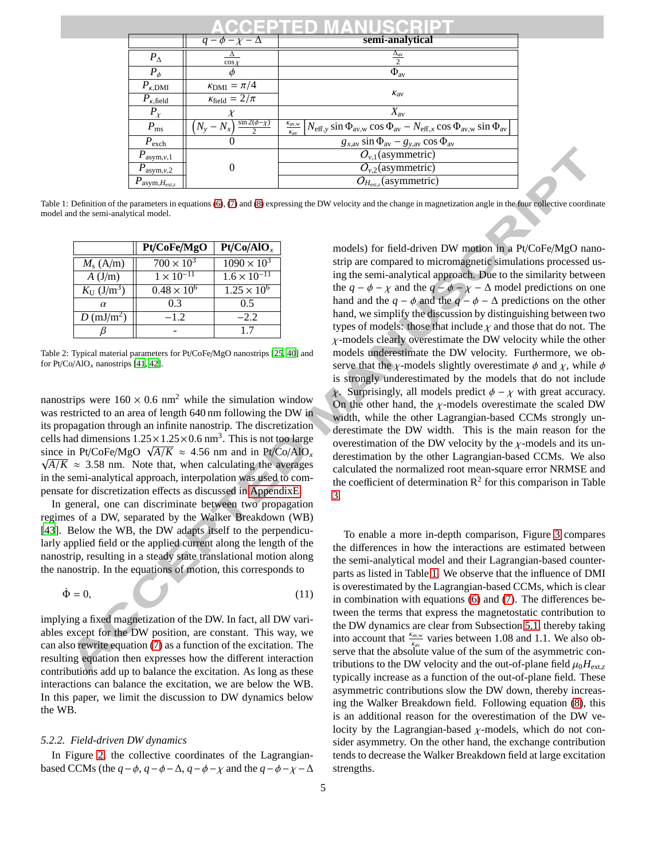| EDEMINIES                                          |                                        |                                                                                                                                                                                   |  |  |  |
|----------------------------------------------------|----------------------------------------|-----------------------------------------------------------------------------------------------------------------------------------------------------------------------------------|--|--|--|
|                                                    | $q - \phi - \chi - \Delta$             | semi-analytical                                                                                                                                                                   |  |  |  |
| $P_{\Delta}$                                       | $\cos x$                               | $\frac{\Delta_{\text{av}}}{2}$                                                                                                                                                    |  |  |  |
| $P_{\phi}$                                         |                                        | $\Phi_{\text{av}}$                                                                                                                                                                |  |  |  |
| $P_{\kappa,\text{DMI}}$                            | $\kappa_{\rm DMI} = \pi/4$             |                                                                                                                                                                                   |  |  |  |
| $P_{\kappa,\text{field}}$                          | $\kappa_{\text{field}} = 2/\pi$        | $K_{\rm av}$                                                                                                                                                                      |  |  |  |
| $P_{\chi}$                                         |                                        | $X_{\rm av}$                                                                                                                                                                      |  |  |  |
| $P_{\rm ms}$                                       | $\sin 2(\phi - \chi)$<br>$(N_v - N_x)$ | $\frac{k_{\text{av},w}}{k}$ $N_{\text{eff},y}$ sin $\Phi_{\text{av},w}$ cos $\Phi_{\text{av}} - N_{\text{eff},x}$ cos $\Phi_{\text{av},w}$ sin $\Phi_{\text{av}}$<br>$K_{\rm av}$ |  |  |  |
| $P_{\text{exch}}$                                  |                                        | $g_{x,av}$ sin $\Phi_{av}$ – $g_{y,av}$ cos $\Phi_{av}$                                                                                                                           |  |  |  |
| $P_{\text{asym},v,1}$                              |                                        | $O_{v,1}$ (asymmetric)                                                                                                                                                            |  |  |  |
| $P_{\text{asym},v,2}$                              |                                        | $O_{v,2}$ (asymmetric)                                                                                                                                                            |  |  |  |
| $P_{\mathrm{asym,}\underline{H}_{\mathrm{ext,z}}}$ |                                        | $O_{H_{\text{ext,z}}}$ (asymmetric)                                                                                                                                               |  |  |  |

Table 1: Definition of the parameters in equations (6), (7) and (8) expressing the DW velocity and the change in magnetization angle in the four collective coordinate model and the semi-analytical model.

|                                          | Pt/CoFe/MgO          | Pt/Co/AlO <sub>x</sub>       |
|------------------------------------------|----------------------|------------------------------|
| $M_{\rm s}$ (A/m)                        | $700 \times 10^{3}$  | $\frac{1090 \times 10^3}{2}$ |
| A(J/m)                                   | $1 \times 10^{-11}$  | $1.6 \times 10^{-11}$        |
| $K_{\text{U}}\left(\frac{J}{m^3}\right)$ | $0.48 \times 10^{6}$ | $1.25 \times 10^{6}$         |
| $\alpha$                                 | 0.3                  | 0.5                          |
| $D \text{ (mJ/m}^2)$                     | $-1.2$               | $-2.2$                       |
|                                          |                      | 17                           |

Table 2: Typical material parameters for Pt/CoFe/MgO nanostrips [25, 40] and for Pt/Co/AlO*<sup>x</sup>* nanostrips [41, 42].

nanostrips were  $160 \times 0.6$  nm<sup>2</sup> while the simulation window was restricted to an area of length 640 nm following the DW in its propagation through an infinite nanostrip. The discretization cells had dimensions  $1.25 \times 1.25 \times 0.6$  nm<sup>3</sup>. This is not too large since in Pt/CoFe/MgO  $\sqrt{A/K} \approx 4.56$  nm and in Pt/Co/AlO<sub>*x*</sub>  $\sqrt{A/K}$  ≈ 3.58 nm. Note that, when calculating the averages in the semi-analytical approach, interpolation was used to compensate for discretization effects as discussed in AppendixE.

In general, one can discriminate between two propagation regimes of a DW, separated by the Walker Breakdown (WB) [43]. Below the WB, the DW adapts itself to the perpendicularly applied field or the applied current along the length of the nanostrip, resulting in a steady state translational motion along the nanostrip. In the equations of motion, this corresponds to

$$
\dot{\Phi} = 0,\tag{11}
$$

implying a fixed magnetization of the DW. In fact, all DW variables except for the DW position, are constant. This way, we can also rewrite equation (7) as a function of the excitation. The resulting equation then expresses how the different interaction contributions add up to balance the excitation. As long as these interactions can balance the excitation, we are below the WB. In this paper, we limit the discussion to DW dynamics below the WB.

### *5.2.2. Field-driven DW dynamics*

In Figure 2, the collective coordinates of the Lagrangianbased CCMs (the  $q - \phi$ ,  $q - \phi - \Delta$ ,  $q - \phi - \chi$  and the  $q - \phi - \chi - \Delta$  models) for field-driven DW motion in a Pt/CoFe/MgO nanostrip are compared to micromagnetic simulations processed using the semi-analytical approach. Due to the similarity between the  $q - \phi - \chi$  and the  $q - \phi - \chi - \Delta$  model predictions on one hand and the  $q - \phi$  and the  $q - \phi - \Delta$  predictions on the other hand, we simplify the discussion by distinguishing between two types of models: those that include  $\chi$  and those that do not. The  $\chi$ -models clearly overestimate the DW velocity while the other models underestimate the DW velocity. Furthermore, we observe that the  $\chi$ -models slightly overestimate  $\phi$  and  $\chi$ , while  $\phi$ is strongly underestimated by the models that do not include Surprisingly, all models predict  $\phi - \chi$  with great accuracy. On the other hand, the  $\chi$ -models overestimate the scaled DW width, while the other Lagrangian-based CCMs strongly underestimate the DW width. This is the main reason for the overestimation of the DW velocity by the  $\chi$ -models and its underestimation by the other Lagrangian-based CCMs. We also calculated the normalized root mean-square error NRMSE and the coefficient of determination  $\mathbb{R}^2$  for this comparison in Table 3.

To enable a more in-depth comparison, Figure 3 compares the differences in how the interactions are estimated between the semi-analytical model and their Lagrangian-based counterparts as listed in Table 1. We observe that the influence of DMI is overestimated by the Lagrangian-based CCMs, which is clear in combination with equations (6) and (7). The differences between the terms that express the magnetostatic contribution to the DW dynamics are clear from Subsection 5.1, thereby taking into account that  $\frac{k_{\text{av},w}}{k_{\text{av}}}$  varies between 1.08 and 1.1. We also observe that the absolute value of the sum of the asymmetric contributions to the DW velocity and the out-of-plane field  $\mu_0 H_{\text{ext}}$ , typically increase as a function of the out-of-plane field. These asymmetric contributions slow the DW down, thereby increasing the Walker Breakdown field. Following equation (8), this is an additional reason for the overestimation of the DW velocity by the Lagrangian-based  $\chi$ -models, which do not consider asymmetry. On the other hand, the exchange contribution tends to decrease the Walker Breakdown field at large excitation strengths.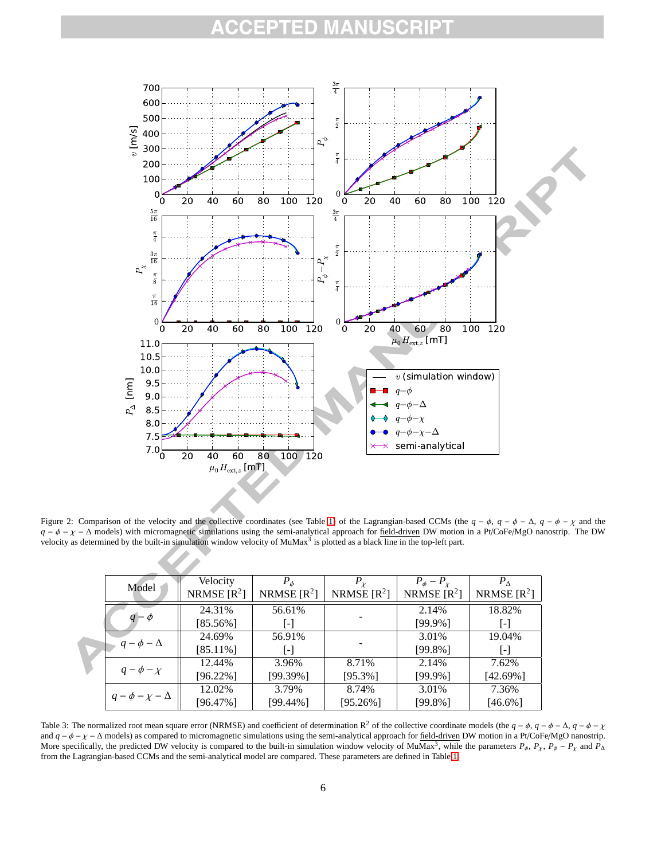#### EPTED MANU CRIPT



Figure 2: Comparison of the velocity and the collective coordinates (see Table 1) of the Lagrangian-based CCMs (the  $q - \phi$ ,  $q - \phi - \Delta$ ,  $q - \phi - \chi$  and the *q* − φ − χ − ∆ models) with micromagnetic simulations using the semi-analytical approach for field-driven DW motion in a Pt/CoFe/MgO nanostrip. The DW velocity as determined by the built-in simulation window velocity of MuMax $^3$  is plotted as a black line in the top-left part.

|  | Model                      | Velocity      | $P_{\phi}$        | $P_{\chi}$    | $P_{\phi}-P_{\chi}$ | $P_{\Lambda}$     |
|--|----------------------------|---------------|-------------------|---------------|---------------------|-------------------|
|  |                            | NRMSE $[R^2]$ | NRMSE $[R^2]$     | NRMSE $[R^2]$ | NRMSE $[R^2]$       | NRMSE $[R^2]$     |
|  | $q-\phi$                   | 24.31%        | 56.61%            |               | 2.14%               | 18.82%            |
|  |                            | $[85.56\%]$   | $\lceil - \rceil$ |               | $[99.9\%]$          | $\mathsf{L}$      |
|  | $q - \phi - \Delta$        | 24.69%        | 56.91%            |               | 3.01%               | 19.04%            |
|  |                            | $[85.11\%]$   | $\lceil - \rceil$ |               | $[99.8\%]$          | $\lceil - \rceil$ |
|  | $q - \phi - \chi$          | 12.44%        | 3.96%             | 8.71%         | 2.14%               | 7.62%             |
|  |                            | $[96.22\%]$   | $[99.39\%]$       | $[95.3\%]$    | [99.9%]             | $[42.69\%]$       |
|  | $q - \phi - \chi - \Delta$ | 12.02%        | 3.79%             | 8.74%         | 3.01%               | 7.36%             |
|  |                            | $[96.47\%]$   | [99.44%]          | [95.26%]      | [99.8%]             | $[46.6\%]$        |

Table 3: The normalized root mean square error (NRMSE) and coefficient of determination R<sup>2</sup> of the collective coordinate models (the  $q - \phi$ ,  $q - \phi - \Delta$ ,  $q - \phi - \chi$ and  $q - \phi - \chi - \Delta$  models) as compared to micromagnetic simulations using the semi-analytical approach for field-driven DW motion in a Pt/CoFe/MgO nanostrip. More specifically, the predicted DW velocity is compared to the built-in simulation window velocity of MuMax<sup>3</sup>, while the parameters  $P_{\phi}$ ,  $P_{\chi}$ ,  $P_{\phi} - P_{\chi}$  and  $P_{\Delta}$ from the Lagrangian-based CCMs and the semi-analytical model are compared. These parameters are defined in Table 1.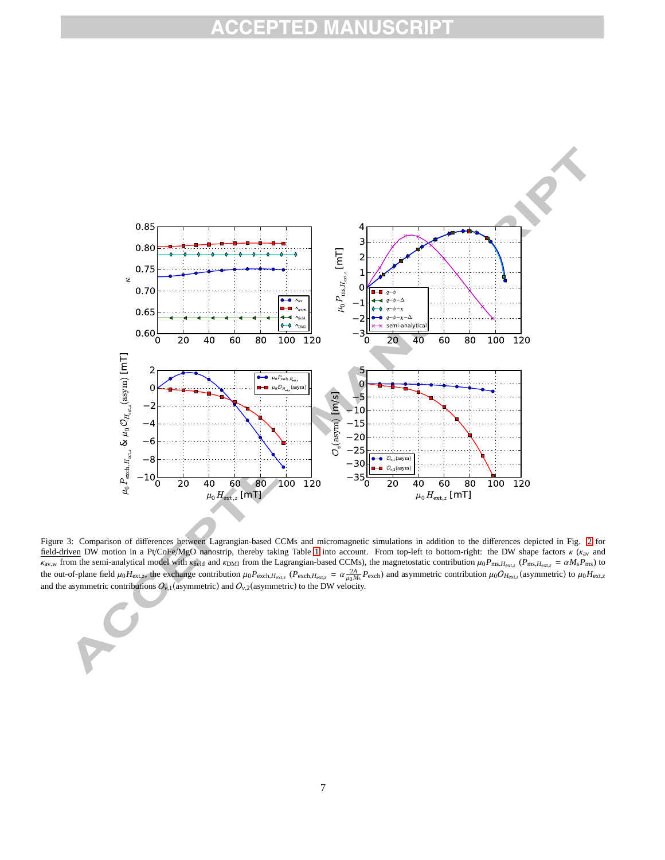

Figure 3: Comparison of differences between Lagrangian-based CCMs and micromagnetic simulations in addition to the differences depicted in Fig. 2 for field-driven DW motion in a Pt/CoFe/MgO nanostrip, thereby taking Table 1 into account. From top-left to bottom-right: the DW shape factors κ (κav and  $\kappa_{\text{av},w}$  from the semi-analytical model with  $\kappa_{\text{field}}$  and  $\kappa_{\text{DMI}}$  from the Lagrangian-based CCMs), the magnetostatic contribution  $\mu_0 P_{\text{ms}, H_{\text{ext},z}}$  ( $P_{\text{ms}, H_{\text{ext},z}} = \alpha M_s P_{\text{ms}}$ ) to the out-of-plane field  $\mu_0 H_{\text{ext},z}$ , the exchange contribution  $\mu_0 P_{\text{exch},H_{\text{ext},z}}$  ( $P_{\text{exch},H_{\text{ext},z}} = \alpha \frac{2A}{\mu_0 M_s} P_{\text{exch}}$ ) and asymmetric contribution  $\mu_0 O_{H_{\text{ext},z}}$  (asymmetric) to  $\mu_0 H_{\text{ext},z}$ and the asymmetric contributions  $O_{\nu,1}$  (asymmetric) and  $O_{\nu,2}$  (asymmetric) to the DW velocity.

PO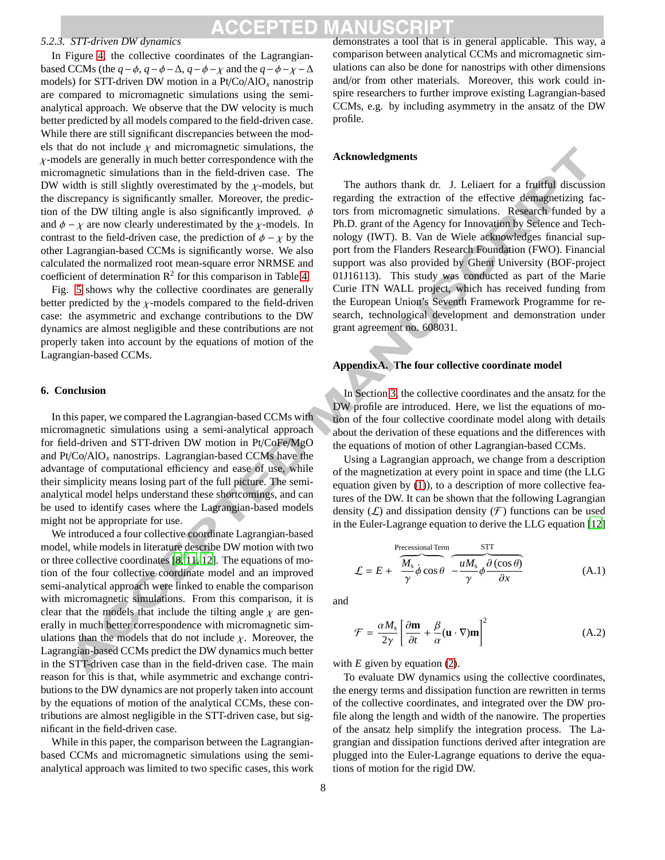# CEPTED

## *5.2.3. STT-driven DW dynamics*

In Figure 4, the collective coordinates of the Lagrangianbased CCMs (the  $q - \phi$ ,  $q - \phi - \Delta$ ,  $q - \phi - \chi$  and the  $q - \phi - \chi - \Delta$ models) for STT-driven DW motion in a Pt/Co/AlO*<sup>x</sup>* nanostrip are compared to micromagnetic simulations using the semianalytical approach. We observe that the DW velocity is much better predicted by all models compared to the field-driven case. While there are still significant discrepancies between the models that do not include  $\chi$  and micromagnetic simulations, the  $\chi$ -models are generally in much better correspondence with the micromagnetic simulations than in the field-driven case. The DW width is still slightly overestimated by the  $\chi$ -models, but the discrepancy is significantly smaller. Moreover, the prediction of the DW tilting angle is also significantly improved.  $\phi$ and  $\phi - \chi$  are now clearly underestimated by the  $\chi$ -models. In contrast to the field-driven case, the prediction of  $\phi - \chi$  by the other Lagrangian-based CCMs is significantly worse. We also calculated the normalized root mean-square error NRMSE and coefficient of determination  $\mathbb{R}^2$  for this comparison in Table 4.

Fig. 5 shows why the collective coordinates are generally better predicted by the  $\chi$ -models compared to the field-driven case: the asymmetric and exchange contributions to the DW dynamics are almost negligible and these contributions are not properly taken into account by the equations of motion of the Lagrangian-based CCMs.

### **6. Conclusion**

In this paper, we compared the Lagrangian-based CCMs with micromagnetic simulations using a semi-analytical approach for field-driven and STT-driven DW motion in Pt/CoFe/MgO and Pt/Co/AlO*<sup>x</sup>* nanostrips. Lagrangian-based CCMs have the advantage of computational efficiency and ease of use, while their simplicity means losing part of the full picture. The semianalytical model helps understand these shortcomings, and can be used to identify cases where the Lagrangian-based models might not be appropriate for use.

We introduced a four collective coordinate Lagrangian-based model, while models in literature describe DW motion with two or three collective coordinates [8, 11, 12]. The equations of motion of the four collective coordinate model and an improved semi-analytical approach were linked to enable the comparison with micromagnetic simulations. From this comparison, it is clear that the models that include the tilting angle  $\chi$  are generally in much better correspondence with micromagnetic simulations than the models that do not include  $\chi$ . Moreover, the Lagrangian-based CCMs predict the DW dynamics much better in the STT-driven case than in the field-driven case. The main reason for this is that, while asymmetric and exchange contributions to the DW dynamics are not properly taken into account by the equations of motion of the analytical CCMs, these contributions are almost negligible in the STT-driven case, but significant in the field-driven case.

While in this paper, the comparison between the Lagrangianbased CCMs and micromagnetic simulations using the semianalytical approach was limited to two specific cases, this work demonstrates a tool that is in general applicable. This way, a comparison between analytical CCMs and micromagnetic simulations can also be done for nanostrips with other dimensions and/or from other materials. Moreover, this work could inspire researchers to further improve existing Lagrangian-based CCMs, e.g. by including asymmetry in the ansatz of the DW profile.

#### **Acknowledgments**



The authors thank dr. J. Leliaert for a fruitful discussion regarding the extraction of the effective demagnetizing factors from micromagnetic simulations. Research funded by a Ph.D. grant of the Agency for Innovation by Science and Technology (IWT). B. Van de Wiele acknowledges financial support from the Flanders Research Foundation (FWO). Financial support was also provided by Ghent University (BOF-project 01J16113). This study was conducted as part of the Marie Curie ITN WALL project, which has received funding from the European Union's Seventh Framework Programme for research, technological development and demonstration under grant agreement no. 608031.

### **AppendixA. The four collective coordinate model**

In Section 3, the collective coordinates and the ansatz for the DW profile are introduced. Here, we list the equations of motion of the four collective coordinate model along with details about the derivation of these equations and the differences with the equations of motion of other Lagrangian-based CCMs.

Using a Lagrangian approach, we change from a description of the magnetization at every point in space and time (the LLG equation given by (1)), to a description of more collective features of the DW. It can be shown that the following Lagrangian density  $(L)$  and dissipation density  $(F)$  functions can be used in the Euler-Lagrange equation to derive the LLG equation [12]

$$
\mathcal{L} = E + \overbrace{\frac{M_s}{\gamma} \dot{\phi} \cos \theta}^{\text{Precessional Term}} - \overbrace{\frac{uM_s}{\gamma} \phi \frac{\partial (\cos \theta)}{\partial x}}^{\text{STT}} \tag{A.1}
$$

and

$$
\mathcal{F} = \frac{\alpha M_s}{2\gamma} \left[ \frac{\partial \mathbf{m}}{\partial t} + \frac{\beta}{\alpha} (\mathbf{u} \cdot \nabla) \mathbf{m} \right]^2 \tag{A.2}
$$

with *E* given by equation (2).

To evaluate DW dynamics using the collective coordinates, the energy terms and dissipation function are rewritten in terms of the collective coordinates, and integrated over the DW profile along the length and width of the nanowire. The properties of the ansatz help simplify the integration process. The Lagrangian and dissipation functions derived after integration are plugged into the Euler-Lagrange equations to derive the equations of motion for the rigid DW.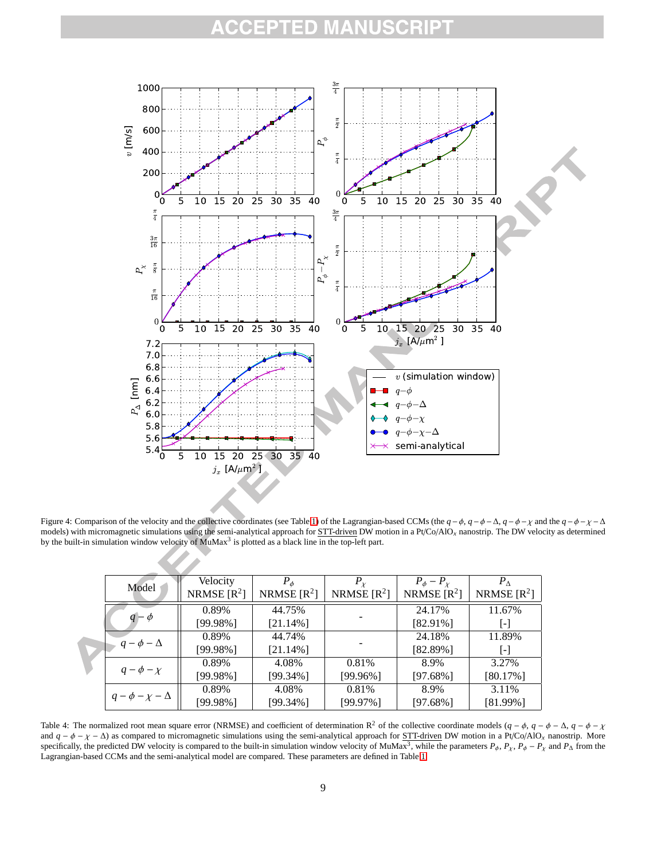#### CRIPT ED M. A



Figure 4: Comparison of the velocity and the collective coordinates (see Table 1) of the Lagrangian-based CCMs (the  $q - \phi$ ,  $q - \phi - \Delta$ ,  $q - \phi - \chi$  and the  $q - \phi - \chi - \Delta$ models) with micromagnetic simulations using the semi-analytical approach for STT-driven DW motion in a Pt/Co/AlO*<sup>x</sup>* nanostrip. The DW velocity as determined by the built-in simulation window velocity of  $MuMax<sup>3</sup>$  is plotted as a black line in the top-left part.

|  | Model                      | Velocity<br>NRMSE $[R^2]$ | $P_{\phi}$<br>NRMSE $[R^2]$ | $P_{\chi}$<br>NRMSE $[R^2]$ | $P_{\phi}-P_{\chi}$<br>NRMSE $[R^2]$ | $P_{\Lambda}$<br>NRMSE $[R^2]$ |
|--|----------------------------|---------------------------|-----------------------------|-----------------------------|--------------------------------------|--------------------------------|
|  | $q-\phi$                   | 0.89%<br>$[99.98\%]$      | 44.75%<br>$[21.14\%]$       |                             | 24.17%<br>$[82.91\%]$                | 11.67%<br>-1                   |
|  | $q - \phi - \Delta$        | 0.89%<br>$[99.98\%]$      | 44.74%<br>$[21.14\%]$       |                             | 24.18%<br>$[82.89\%]$                | 11.89%<br>$\mathsf{L}$         |
|  | $q - \phi - \chi$          | 0.89%<br>$[99.98\%]$      | 4.08%<br>[99.34%]           | 0.81\%<br>$[99.96\%]$       | 8.9%<br>$[97.68\%]$                  | 3.27%<br>$[80.17\%]$           |
|  | $q - \phi - \chi - \Delta$ | 0.89%<br>$[99.98\%]$      | 4.08%<br>[99.34%]           | 0.81%<br>$[99.97\%]$        | 8.9%<br>$[97.68\%]$                  | 3.11%<br>[81.99%]              |

Table 4: The normalized root mean square error (NRMSE) and coefficient of determination R<sup>2</sup> of the collective coordinate models  $(q - \phi, q - \phi - \Delta, q - \phi - \chi)$ and  $q - \phi - \chi - \Delta$ ) as compared to micromagnetic simulations using the semi-analytical approach for STT-driven DW motion in a Pt/Co/AlO<sub>x</sub> nanostrip. More specifically, the predicted DW velocity is compared to the built-in simulation window velocity of MuMax<sup>3</sup>, while the parameters  $P_{\phi}$ ,  $P_{\chi}$ ,  $P_{\phi} - P_{\chi}$  and  $P_{\Delta}$  from the Lagrangian-based CCMs and the semi-analytical model are compared. These parameters are defined in Table 1.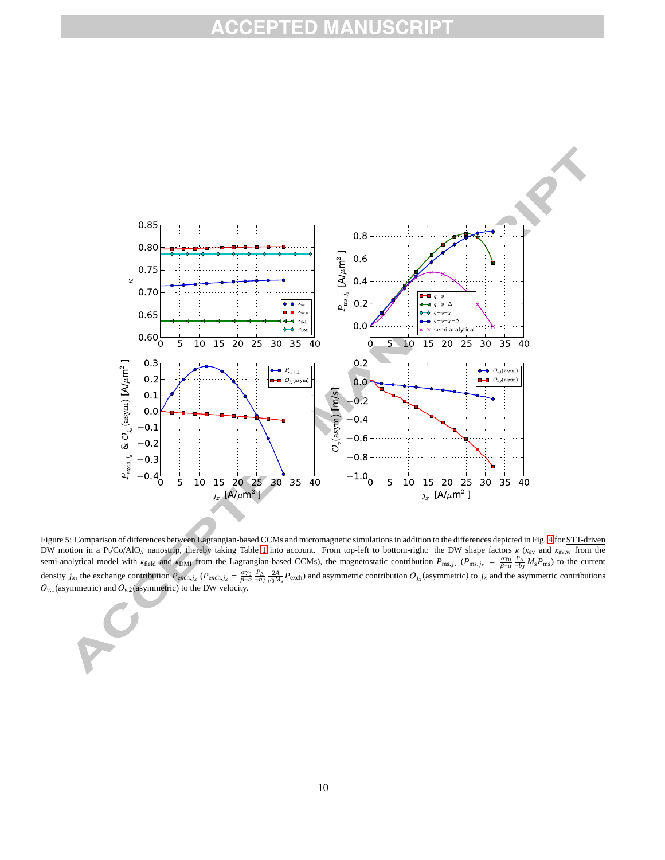

Figure 5: Comparison of differences between Lagrangian-based CCMs and micromagnetic simulations in addition to the differences depicted in Fig. 4 for STT-driven DW motion in a Pt/Co/AlO<sub>x</sub> nanostrip, thereby taking Table 1 into account. From top-left to bottom-right: the DW shape factors  $\kappa$  ( $\kappa_{av}$  and  $\kappa_{av,w}$  from the semi-analytical model with  $\kappa_{\text{field}}$  and  $\kappa_{\text{DMI}}$  from the Lagrangian-based CCMs), the magnetostatic contribution  $P_{\text{ms}, j_x}$  ( $P_{\text{ms}, j_x} = \frac{a\gamma_0}{\beta - \alpha} \frac{P_{\Delta}}{-b_I} M_s P_{\text{ms}}$ ) to the current β−α −*b<sup>J</sup>* density  $j_x$ , the exchange contribution  $P_{\text{exch},j_x}$  ( $P_{\text{exch},j_x} = \frac{\alpha \gamma_0}{\beta - \alpha} \frac{P_A}{-b_J} \frac{2A}{\mu_0 M_s} P_{\text{exch}}$ ) and asymmetric contribution  $O_{j_x}$ (asymmetric) to  $j_x$  and the asymmetric contributions  $O_{v,1}$  (asymmetric) and  $O_{v,2}$  (asymmetric) to the DW velocity.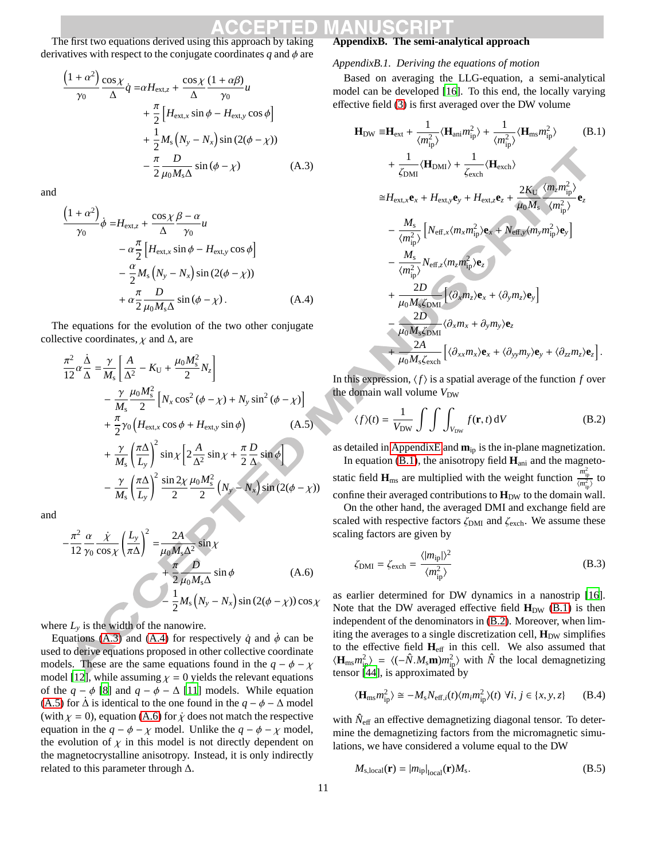The first two equations derived using this approach by taking derivatives with respect to the conjugate coordinates  $q$  and  $\phi$  are

$$
\frac{\left(1+\alpha^{2}\right)\cos\chi}{\gamma_{0}}\dot{q} = \alpha H_{\text{ext},z} + \frac{\cos\chi}{\Delta}\frac{(1+\alpha\beta)}{\gamma_{0}}u
$$

$$
+ \frac{\pi}{2}\left[H_{\text{ext},x}\sin\phi - H_{\text{ext},y}\cos\phi\right]
$$

$$
+ \frac{1}{2}M_{s}\left(N_{y} - N_{x}\right)\sin\left(2(\phi - \chi)\right)
$$

$$
- \frac{\pi}{2}\frac{D}{\mu_{0}M_{s}\Delta}\sin\left(\phi - \chi\right) \tag{A.3}
$$

and

$$
\frac{\left(1+\alpha^2\right)}{\gamma_0}\dot{\phi} = H_{\text{ext},z} + \frac{\cos\chi}{\Delta} \frac{\beta - \alpha}{\gamma_0} u
$$
  

$$
- \alpha \frac{\pi}{2} \left[ H_{\text{ext},x} \sin \phi - H_{\text{ext},y} \cos \phi \right]
$$
  

$$
- \frac{\alpha}{2} M_s \left( N_y - N_x \right) \sin \left( 2(\phi - \chi) \right)
$$
  

$$
+ \alpha \frac{\pi}{2} \frac{D}{\mu_0 M_s \Delta} \sin (\phi - \chi) . \tag{A.4}
$$

The equations for the evolution of the two other conjugate collective coordinates,  $\chi$  and  $\Delta$ , are

$$
\frac{\pi^2}{12} \alpha \frac{\dot{\Delta}}{\Delta} = \frac{\gamma}{M_s} \left[ \frac{A}{\Delta^2} - K_U + \frac{\mu_0 M_s^2}{2} N_z \right]
$$
  
\n
$$
- \frac{\gamma}{M_s} \frac{\mu_0 M_s^2}{2} \left[ N_x \cos^2 (\phi - \chi) + N_y \sin^2 (\phi - \chi) \right]
$$
  
\n
$$
+ \frac{\pi}{2} \gamma_0 \left( H_{\text{ext},x} \cos \phi + H_{\text{ext},y} \sin \phi \right) \qquad (A.5)
$$
  
\n
$$
+ \frac{\gamma}{M_s} \left( \frac{\pi \Delta}{L_y} \right)^2 \sin \chi \left[ 2 \frac{A}{\Delta^2} \sin \chi + \frac{\pi}{2} \frac{D}{\Delta} \sin \phi \right]
$$
  
\n
$$
- \frac{\gamma}{M_s} \left( \frac{\pi \Delta}{L_y} \right)^2 \frac{\sin 2\chi}{2} \frac{\mu_0 M_s^2}{2} \left( N_y - N_x \right) \sin (2(\phi - \chi))
$$

and

$$
-\frac{\pi^2}{12} \frac{\alpha}{\gamma_0} \frac{\dot{\chi}}{\cos \chi} \left(\frac{L_y}{\pi \Delta}\right)^2 = \frac{2A}{\mu_0 M_s \Delta^2} \sin \chi
$$
  
+  $\frac{\pi}{2} \frac{D}{\mu_0 M_s \Delta} \sin \phi$  (A.6)  
-  $\frac{1}{2} M_s (N_y - N_x) \sin (2(\phi - \chi)) \cos \chi$ 

where  $L<sub>v</sub>$  is the width of the nanowire.

Equations (A.3) and (A.4) for respectively  $\dot{q}$  and  $\dot{\phi}$  can be used to derive equations proposed in other collective coordinate models. These are the same equations found in the  $q - \phi - \chi$ model [12], while assuming  $\chi = 0$  yields the relevant equations of the  $q - \phi$  [8] and  $q - \phi - \Delta$  [11] models. While equation (A.5) for  $\Delta$  is identical to the one found in the  $q - \phi - \Delta$  model (with  $\chi = 0$ ), equation (A.6) for  $\dot{\chi}$  does not match the respective equation in the  $q - \phi - \chi$  model. Unlike the  $q - \phi - \chi$  model, the evolution of  $\chi$  in this model is not directly dependent on the magnetocrystalline anisotropy. Instead, it is only indirectly related to this parameter through  $\Delta$ .

## **AppendixB. The semi-analytical approach**

#### *AppendixB.1. Deriving the equations of motion*

Based on averaging the LLG-equation, a semi-analytical model can be developed [16]. To this end, the locally varying effective field (3) is first averaged over the DW volume

$$
\mathbf{H}_{DW} = \mathbf{H}_{ext} + \frac{1}{\langle m_{ip}^2 \rangle} \langle \mathbf{H}_{ani} m_{ip}^2 \rangle + \frac{1}{\langle m_{ip}^2 \rangle} \langle \mathbf{H}_{ms} m_{ip}^2 \rangle \qquad (B.1)
$$
\n
$$
+ \frac{1}{\zeta_{DMI}} \langle \mathbf{H}_{DMI} \rangle + \frac{1}{\zeta_{exch}} \langle \mathbf{H}_{exch} \rangle
$$
\n
$$
\approx H_{ext,x} \mathbf{e}_x + H_{ext,y} \mathbf{e}_y + H_{ext,z} \mathbf{e}_z + \frac{2K_U}{\mu_0 M_s} \frac{\langle m_z m_{ip}^2 \rangle}{\langle m_{ip}^2 \rangle} \mathbf{e}_z
$$
\n
$$
- \frac{M_s}{\langle m_{ip}^2 \rangle} \left[ N_{eff,x} \langle m_x m_{ip}^2 \rangle \mathbf{e}_x + N_{eff,y} \langle m_y m_{ip}^2 \rangle \mathbf{e}_y \right]
$$
\n
$$
- \frac{M_s}{\langle m_{ip}^2 \rangle} N_{eff,z} \langle m_z m_{ip}^2 \rangle \mathbf{e}_z
$$
\n
$$
+ \frac{2D}{\mu_0 M_s \zeta_{DMI}} \left[ \langle \partial_x m_x \rangle \mathbf{e}_x + \langle \partial_y m_z \rangle \mathbf{e}_y \right]
$$
\n
$$
- \frac{2D}{\mu_0 M_s \zeta_{DMI}} \langle \partial_x m_x + \partial_y m_y \rangle \mathbf{e}_z
$$
\n
$$
+ \frac{2A}{\mu_0 M_s \zeta_{exch}} \left[ \langle \partial_{xx} m_x \rangle \mathbf{e}_x + \langle \partial_{yy} m_y \rangle \mathbf{e}_y + \langle \partial_{zz} m_z \rangle \mathbf{e}_z \right].
$$

In this expression,  $\langle f \rangle$  is a spatial average of the function *f* over the domain wall volume  $V_{\text{DW}}$ 

$$
\langle f \rangle(t) = \frac{1}{V_{\text{DW}}} \int \int \int_{V_{\text{DW}}} f(\mathbf{r}, t) \, \mathrm{d}V \tag{B.2}
$$

as detailed in AppendixE and **m**ip is the in-plane magnetization. In equation  $(B.1)$ , the anisotropy field  $\mathbf{H}_{\text{ani}}$  and the magnetostatic field  $\mathbf{H}_{\text{ms}}$  are multiplied with the weight function  $\frac{m_{\text{ip}}^2}{\langle m_{\text{ip}}^2 \rangle}$  to confine their averaged contributions to  $\mathbf{H}_{DW}$  to the domain wall. On the other hand, the averaged DMI and exchange field are scaled with respective factors  $\zeta_{\text{DMI}}$  and  $\zeta_{\text{exch}}$ . We assume these scaling factors are given by

$$
\zeta_{\rm DMI} = \zeta_{\rm exch} = \frac{\langle |m_{\rm ip}| \rangle^2}{\langle m_{\rm ip}^2 \rangle} \tag{B.3}
$$

as earlier determined for DW dynamics in a nanostrip [16]. Note that the DW averaged effective field  $H_{DW}$  (B.1) is then independent of the denominators in (B.2). Moreover, when limiting the averages to a single discretization cell,  $\mathbf{H}_{DW}$  simplifies to the effective field **H**eff in this cell. We also assumed that  $\langle \mathbf{H}_{\text{ms}} m_{\text{ip}}^2 \rangle = \langle (-\hat{N} \cdot M_s \mathbf{m}) m_{\text{ip}}^2 \rangle$  with  $\hat{N}$  the local demagnetizing tensor [44], is approximated by

$$
\langle \mathbf{H}_{\text{ms}} m_{\text{ip}}^2 \rangle \cong -M_s N_{\text{eff},i}(t) \langle m_i m_{\text{ip}}^2 \rangle(t) \ \forall i, j \in \{x, y, z\} \qquad \text{(B.4)}
$$

with  $\hat{N}_{\text{eff}}$  an effective demagnetizing diagonal tensor. To determine the demagnetizing factors from the micromagnetic simulations, we have considered a volume equal to the DW

$$
M_{\rm s,local}(\mathbf{r}) = |m_{\rm ip}|_{\rm local}(\mathbf{r})M_{\rm s}.
$$
 (B.5)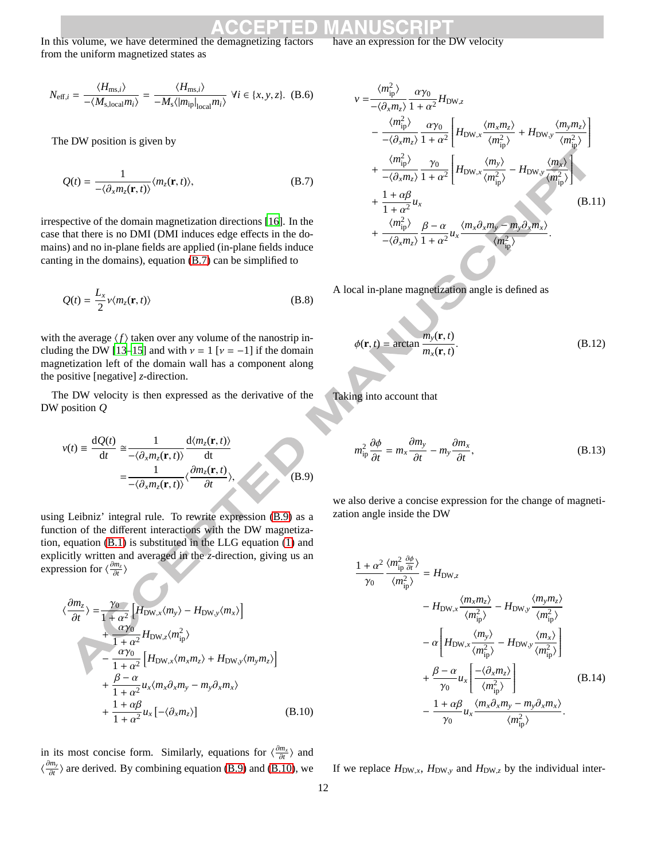In this volume, we have determined the demagnetizing factors from the uniform magnetized states as

$$
N_{\text{eff},i} = \frac{\langle H_{\text{ms},i} \rangle}{-\langle M_{\text{s,local}} m_i \rangle} = \frac{\langle H_{\text{ms},i} \rangle}{-M_{\text{s}} \langle |m_{\text{ip}}|_{\text{local}} m_i \rangle} \ \forall i \in \{x, y, z\}. \tag{B.6}
$$

The DW position is given by

$$
Q(t) = \frac{1}{-\langle \partial_x m_z(\mathbf{r}, t) \rangle} \langle m_z(\mathbf{r}, t) \rangle, \tag{B.7}
$$

irrespective of the domain magnetization directions [16]. In the case that there is no DMI (DMI induces edge effects in the domains) and no in-plane fields are applied (in-plane fields induce canting in the domains), equation (B.7) can be simplified to

$$
Q(t) = \frac{L_x}{2} \nu \langle m_z(\mathbf{r}, t) \rangle
$$
 (B.8)

with the average  $\langle f \rangle$  taken over any volume of the nanostrip including the DW [13–15] and with  $v = 1$  [ $v = -1$ ] if the domain magnetization left of the domain wall has a component along the positive [negative] *z*-direction.

The DW velocity is then expressed as the derivative of the DW position *Q*

$$
v(t) = \frac{dQ(t)}{dt} \approx \frac{1}{-\langle \partial_x m_z(\mathbf{r}, t) \rangle} \frac{d\langle m_z(\mathbf{r}, t) \rangle}{dt}
$$

$$
= \frac{1}{-\langle \partial_x m_z(\mathbf{r}, t) \rangle} \langle \frac{\partial m_z(\mathbf{r}, t)}{\partial t} \rangle,
$$
(B.9)

using Leibniz' integral rule. To rewrite expression (B.9) as a function of the different interactions with the DW magnetization, equation (B.1) is substituted in the LLG equation (1) and explicitly written and averaged in the *z*-direction, giving us an expression for  $\langle \frac{\partial m_z}{\partial t} \rangle$ 

$$
\langle \frac{\partial m_z}{\partial t} \rangle = \frac{\gamma_0}{1 + \alpha^2} \Big[ H_{\text{DW},x} \langle m_y \rangle - H_{\text{DW},y} \langle m_x \rangle \Big] + \frac{\alpha \gamma_0}{1 + \alpha^2} H_{\text{DW},z} \langle m_{\text{ip}}^2 \rangle - \frac{\alpha \gamma_0}{1 + \alpha^2} \Big[ H_{\text{DW},x} \langle m_x m_z \rangle + H_{\text{DW},y} \langle m_y m_z \rangle \Big] + \frac{\beta - \alpha}{1 + \alpha^2} u_x \langle m_x \partial_x m_y - m_y \partial_x m_x \rangle + \frac{1 + \alpha \beta}{1 + \alpha^2} u_x \left[ - \langle \partial_x m_z \rangle \right]
$$
(B.10)

in its most concise form. Similarly, equations for  $\langle \frac{\partial m_x}{\partial t} \rangle$  and  $\langle \frac{\partial m_y}{\partial t}$  $\frac{m_y}{\partial t}$  are derived. By combining equation (B.9) and (B.10), we

If we replace  $H_{DW,x}$ ,  $H_{DW,y}$  and  $H_{DW,z}$  by the individual inter-

$$
v = \frac{\langle m_{\text{ip}}^2 \rangle}{-\langle \partial_x m_z \rangle} \frac{\alpha \gamma_0}{1 + \alpha^2} H_{\text{DW},z}
$$
  
\n
$$
- \frac{\langle m_{\text{ip}}^2 \rangle}{-\langle \partial_x m_z \rangle} \frac{\alpha \gamma_0}{1 + \alpha^2} \left[ H_{\text{DW},x} \frac{\langle m_x m_z \rangle}{\langle m_{\text{ip}}^2 \rangle} + H_{\text{DW},y} \frac{\langle m_y m_z \rangle}{\langle m_{\text{ip}}^2 \rangle} \right]
$$
  
\n
$$
+ \frac{\langle m_{\text{ip}}^2 \rangle}{-\langle \partial_x m_z \rangle} \frac{\gamma_0}{1 + \alpha^2} \left[ H_{\text{DW},x} \frac{\langle m_y \rangle}{\langle m_{\text{ip}}^2 \rangle} - H_{\text{DW},y} \frac{\langle m_x \rangle}{\langle m_{\text{ip}}^2 \rangle} \right]
$$
  
\n
$$
+ \frac{1 + \alpha \beta}{1 + \alpha^2} u_x \qquad (B.11)
$$
  
\n
$$
+ \frac{\langle m_{\text{ip}}^2 \rangle}{-\langle \partial_x m_z \rangle} \frac{\beta - \alpha}{1 + \alpha^2} u_x \frac{\langle m_x \partial_x m_y - m_y \partial_x m_x \rangle}{\langle m_{\text{ip}}^2 \rangle}.
$$

A local in-plane magnetization angle is defined as

$$
\phi(\mathbf{r},t) = \arctan\frac{m_{y}(\mathbf{r},t)}{m_{x}(\mathbf{r},t)}.
$$
\n(B.12)

Taking into account that

$$
m_{\rm ip}^2 \frac{\partial \phi}{\partial t} = m_x \frac{\partial m_y}{\partial t} - m_y \frac{\partial m_x}{\partial t},
$$
 (B.13)

we also derive a concise expression for the change of magnetization angle inside the DW

$$
\frac{1+\alpha^2}{\gamma_0} \frac{\langle m_{\text{ip}}^2 \frac{\partial \phi}{\partial t} \rangle}{\langle m_{\text{ip}}^2 \rangle} = H_{\text{DW},z} \n- H_{\text{DW},x} \frac{\langle m_x m_z \rangle}{\langle m_{\text{ip}}^2 \rangle} - H_{\text{DW},y} \frac{\langle m_y m_z \rangle}{\langle m_{\text{ip}}^2 \rangle} \n- \alpha \left[ H_{\text{DW},x} \frac{\langle m_y \rangle}{\langle m_{\text{ip}}^2 \rangle} - H_{\text{DW},y} \frac{\langle m_x \rangle}{\langle m_{\text{ip}}^2 \rangle} \right] \n+ \frac{\beta - \alpha}{\gamma_0} u_x \left[ \frac{-\langle \partial_x m_z \rangle}{\langle m_{\text{ip}}^2 \rangle} \right] \qquad (B.14) \n- \frac{1 + \alpha \beta}{\gamma_0} u_x \frac{\langle m_x \partial_x m_y - m_y \partial_x m_x \rangle}{\langle m_{\text{ip}}^2 \rangle}.
$$

have an expression for the DW velocity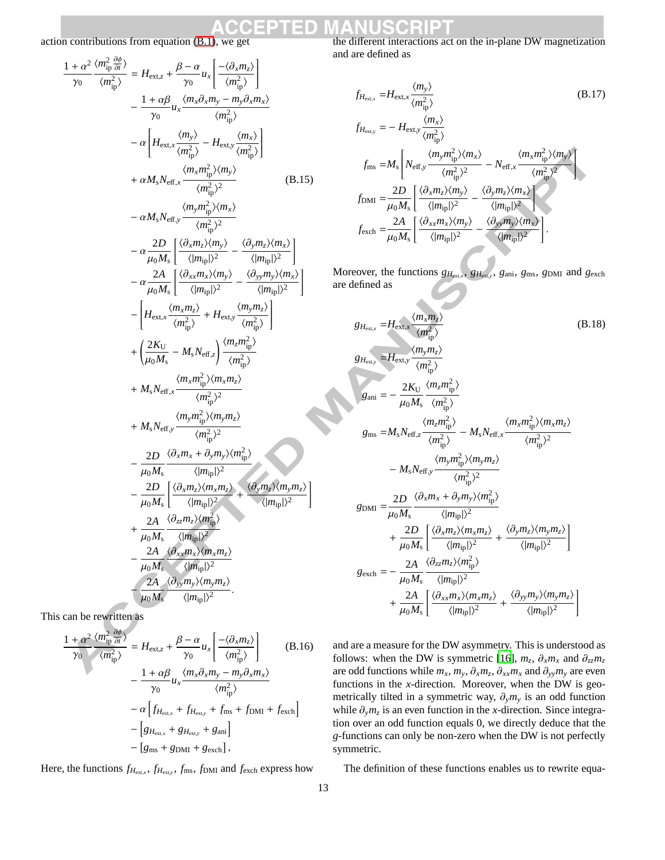action contributions from equation (B.1), we get

$$
\frac{1+\alpha^2}{\gamma_0} \frac{\langle m_{\text{ip}}^2 \frac{\partial \phi}{\partial n} \rangle}{\langle m_{\text{ip}}^2 \rangle} = H_{\text{ext},z} + \frac{\beta - \alpha}{\gamma_0} u_x \left[ \frac{-\langle \partial_x m_z \rangle}{\langle m_{\text{ip}}^2 \rangle} \right] \n- \frac{1+\alpha\beta}{\gamma_0} u_x \frac{\langle m_x \partial_x m_y - m_y \partial_x m_x \rangle}{\langle m_{\text{ip}}^2 \rangle} \n- \alpha \left[ H_{\text{ext},x} \frac{\langle m_y \rangle}{\langle m_{\text{ip}}^2 \rangle} - H_{\text{ext},y} \frac{\langle m_x \rangle}{\langle m_{\text{ip}}^2 \rangle} \right] \n+ \alpha M_s N_{\text{eff},x} \frac{\langle m_x m_{\text{ip}}^2 \rangle \langle m_y \rangle}{\langle m_{\text{ip}}^2 \rangle^2} \n- \alpha M_s N_{\text{eff},y} \frac{\langle m_y m_{\text{ip}}^2 \rangle \langle m_x \rangle}{\langle m_{\text{ip}}^2 \rangle^2} \n- \alpha \frac{2D}{\mu_0 M_s} \left[ \frac{\langle \partial_x m_z \rangle \langle m_y \rangle}{\langle |m_{\text{ip}}| \rangle^2} - \frac{\langle \partial_y m_z \rangle \langle m_x \rangle}{\langle |m_{\text{ip}}| \rangle^2} \right] \n- \frac{\alpha \frac{2A}{\mu_0 M_s} \left[ \frac{\langle \partial_x m_z \rangle \langle m_y \rangle}{\langle |m_{\text{ip}}| \rangle^2} - \frac{\langle \partial_y m_y \rangle \langle m_x \rangle}{\langle |m_{\text{ip}}| \rangle^2} \right]}{\left[ H_{\text{ext},x} \frac{\langle m_x m_z \rangle}{\langle m_{\text{ip}}^2 \rangle} + H_{\text{ext},y} \frac{\langle m_y m_z \rangle}{\langle m_{\text{ip}}^2 \rangle} \right] \n+ \left( \frac{2K_U}{\mu_0 M_s} - M_s N_{\text{eff},z} \frac{\langle m_z m_z \rangle}{\langle m_{\text{ip}}^2 \rangle} \right) \n+ M_s N_{\text{eff},x} \frac{\langle m_x m_{\text{ip}}^2 \rangle \langle m_x m_z \rangle}{\langle m_{\text{ip}}^2 \rangle} \n+ M_s N_{\
$$

This can be rewritten as

$$
\frac{1+\alpha^2}{\gamma_0} \frac{\langle m_{\text{ip}}^2 \frac{\partial \phi}{\partial t} \rangle}{\langle m_{\text{ip}}^2 \rangle} = H_{\text{ext},z} + \frac{\beta - \alpha}{\gamma_0} u_x \left[ \frac{-\langle \partial_x m_z \rangle}{\langle m_{\text{ip}}^2 \rangle} \right] \qquad (B.16)
$$

$$
- \frac{1+\alpha\beta}{\gamma_0} u_x \frac{\langle m_x \partial_x m_y - m_y \partial_x m_x \rangle}{\langle m_{\text{ip}}^2 \rangle}
$$

$$
- \alpha \left[ f_{H_{\text{ext},x}} + f_{H_{\text{ext},y}} + f_{\text{ms}} + f_{\text{DMI}} + f_{\text{exch}} \right]
$$

$$
- \left[ g_{H_{\text{ext},x}} + g_{H_{\text{ext},y}} + g_{\text{ani}} \right]
$$

$$
- \left[ g_{\text{ms}} + g_{\text{DMI}} + g_{\text{exch}} \right],
$$

Here, the functions  $f_{H_{ext,x}}$ ,  $f_{H_{ext,y}}$ ,  $f_{\text{ms}}$ ,  $f_{\text{DMI}}$  and  $f_{\text{exch}}$  express how

the different interactions act on the in-plane DW magnetization and are defined as

$$
f_{H_{\text{ext},x}} = H_{\text{ext},x} \frac{\langle m_y \rangle}{\langle m_{\text{ip}}^2 \rangle}
$$
(B.17)  
\n
$$
f_{H_{\text{ext},y}} = - H_{\text{ext},y} \frac{\langle m_x \rangle}{\langle m_{\text{ip}}^2 \rangle}
$$
  
\n
$$
f_{\text{ms}} = M_s \left[ N_{\text{eff},y} \frac{\langle m_y m_{\text{ip}}^2 \rangle \langle m_x \rangle}{\langle m_{\text{ip}}^2 \rangle^2} - N_{\text{eff},x} \frac{\langle m_x m_{\text{ip}}^2 \rangle \langle m_y \rangle}{\langle m_{\text{ip}}^2 \rangle^2} \right]
$$
  
\n
$$
f_{\text{DMI}} = \frac{2D}{\mu_0 M_s} \left[ \frac{\langle \partial_x m_z \rangle \langle m_y \rangle}{\langle |m_{\text{ip}}| \rangle^2} - \frac{\langle \partial_y m_z \rangle \langle m_x \rangle}{\langle |m_{\text{ip}}| \rangle^2} \right]
$$
  
\n
$$
f_{\text{exch}} = \frac{2A}{\mu_0 M_s} \left[ \frac{\langle \partial_{xx} m_x \rangle \langle m_y \rangle}{\langle |m_{\text{ip}}| \rangle^2} - \frac{\langle \partial_{yy} m_y \rangle \langle m_x \rangle}{\langle |m_{\text{ip}}| \rangle^2} \right].
$$

Moreover, the functions  $g_{H_{ext,x}}$ ,  $g_{H_{ext,y}}$ ,  $g_{ani}$ ,  $g_{ms}$ ,  $g_{DMI}$  and  $g_{exch}$ are defined as

$$
g_{H_{\text{ext},x}} = H_{\text{ext},y} \frac{\langle m_x m_z \rangle}{\langle m_{\text{ip}}^2 \rangle}
$$
(B.18)  
\n
$$
g_{H_{\text{ext},y}} = H_{\text{ext},y} \frac{\langle m_y m_z \rangle}{\langle m_{\text{ip}}^2 \rangle}
$$
  
\n
$$
g_{\text{ani}} = -\frac{2K_U}{\mu_0 M_s} \frac{\langle m_z m_{\text{ip}}^2 \rangle}{\langle m_{\text{ip}}^2 \rangle}
$$
  
\n
$$
g_{\text{ms}} = M_s N_{\text{eff},z} \frac{\langle m_z m_{\text{ip}}^2 \rangle}{\langle m_{\text{ip}}^2 \rangle} - M_s N_{\text{eff},x} \frac{\langle m_x m_{\text{ip}}^2 \rangle \langle m_x m_z \rangle}{\langle m_{\text{ip}}^2 \rangle^2}
$$
  
\n
$$
- M_s N_{\text{eff},y} \frac{\langle m_y m_{\text{ip}}^2 \rangle \langle m_y m_z \rangle}{\langle m_{\text{ip}}^2 \rangle^2}
$$
  
\n
$$
g_{\text{DMI}} = \frac{2D}{\mu_0 M_s} \frac{\langle \partial_x m_x + \partial_y m_y \rangle \langle m_{\text{ip}}^2 \rangle}{\langle |m_{\text{ip}}| \rangle^2}
$$
  
\n
$$
+ \frac{2D}{\mu_0 M_s} \left[ \frac{\langle \partial_x m_z \rangle \langle m_x m_z \rangle}{\langle |m_{\text{ip}}| \rangle^2} + \frac{\langle \partial_y m_z \rangle \langle m_y m_z \rangle}{\langle |m_{\text{ip}}| \rangle^2} \right]
$$
  
\n
$$
g_{\text{exch}} = -\frac{2A}{\mu_0 M_s} \frac{\langle \partial_{zz} m_z \rangle \langle m_{\text{ip}} \rangle}{\langle |m_{\text{ip}}| \rangle^2}
$$
  
\n
$$
+ \frac{2A}{\mu_0 M_s} \left[ \frac{\langle \partial_{xx} m_x \rangle \langle m_x m_z \rangle}{\langle |m_{\text{ip}}| \rangle^2} + \frac{\langle \partial_{yy} m_y \rangle \langle m_y m_z \rangle}{\langle |m_{\text{ip}}| \rangle^2} \right]
$$

and are a measure for the DW asymmetry. This is understood as follows: when the DW is symmetric [16],  $m_z$ ,  $\partial_x m_x$  and  $\partial_{zz} m_z$ are odd functions while  $m_x$ ,  $m_y$ ,  $\partial_x m_z$ ,  $\partial_{xx} m_x$  and  $\partial_{yy} m_y$  are even functions in the *x*-direction. Moreover, when the DW is geometrically tilted in a symmetric way,  $\partial_{y}m_{y}$  is an odd function while ∂*ym<sup>z</sup>* is an even function in the *x*-direction. Since integration over an odd function equals 0, we directly deduce that the *g*-functions can only be non-zero when the DW is not perfectly symmetric.

The definition of these functions enables us to rewrite equa-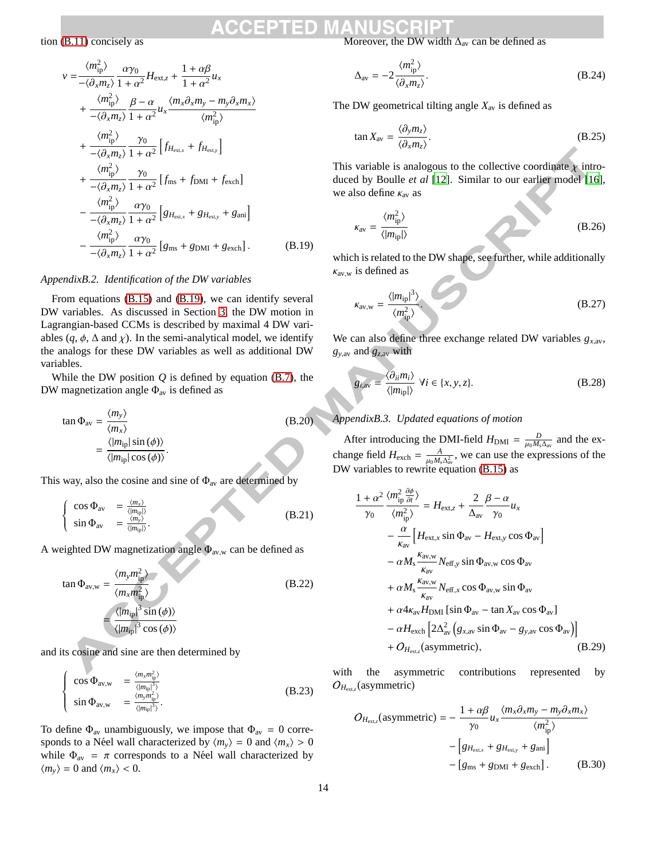tion (B.11) concisely as

$$
v = \frac{\langle m_{\text{ip}}^2 \rangle}{-\langle \partial_x m_z \rangle} \frac{\alpha \gamma_0}{1 + \alpha^2} H_{\text{ext},z} + \frac{1 + \alpha \beta}{1 + \alpha^2} u_x
$$
  
+ 
$$
\frac{\langle m_{\text{ip}}^2 \rangle}{-\langle \partial_x m_z \rangle} \frac{\beta - \alpha}{1 + \alpha^2} u_x \frac{\langle m_x \partial_x m_y - m_y \partial_x m_x \rangle}{\langle m_{\text{ip}}^2 \rangle}
$$
  
+ 
$$
\frac{\langle m_{\text{ip}}^2 \rangle}{-\langle \partial_x m_z \rangle} \frac{\gamma_0}{1 + \alpha^2} \left[ f_{\text{H}_{\text{ext},x}} + f_{\text{H}_{\text{ext},y}} \right]
$$
  
+ 
$$
\frac{\langle m_{\text{ip}}^2 \rangle}{-\langle \partial_x m_z \rangle} \frac{\gamma_0}{1 + \alpha^2} \left[ f_{\text{ms}} + f_{\text{DMI}} + f_{\text{exch}} \right]
$$
  
- 
$$
\frac{\langle m_{\text{ip}}^2 \rangle}{-\langle \partial_x m_z \rangle} \frac{\alpha \gamma_0}{1 + \alpha^2} \left[ g_{\text{H}_{\text{ext},x}} + g_{\text{H}_{\text{ext},y}} + g_{\text{ani}} \right]
$$
  
- 
$$
\frac{\langle m_{\text{ip}}^2 \rangle}{-\langle \partial_x m_z \rangle} \frac{\alpha \gamma_0}{1 + \alpha^2} \left[ g_{\text{ms}} + g_{\text{DMI}} + g_{\text{exch}} \right]. \tag{B.19}
$$

#### *AppendixB.2. Identification of the DW variables*

From equations (B.15) and (B.19), we can identify several DW variables. As discussed in Section 3, the DW motion in Lagrangian-based CCMs is described by maximal 4 DW variables  $(q, \phi, \Delta \text{ and } \chi)$ . In the semi-analytical model, we identify the analogs for these DW variables as well as additional DW variables.

While the DW position  $Q$  is defined by equation  $(B.7)$ , the DW magnetization angle  $\Phi_{av}$  is defined as

$$
\tan \Phi_{\text{av}} = \frac{\langle m_{y} \rangle}{\langle m_{x} \rangle}
$$
\n
$$
= \frac{\langle |m_{\text{ip}}| \sin (\phi) \rangle}{\langle |m_{\text{ip}}| \cos (\phi) \rangle}.
$$
\n(B.20)

This way, also the cosine and sine of  $\Phi_{av}$  are determined by

$$
\begin{cases}\n\cos \Phi_{\text{av}} = \frac{\langle m_x \rangle}{\langle |m_{\text{ip}}| \rangle} \\
\sin \Phi_{\text{av}} = \frac{\langle m_y \rangle}{\langle |m_{\text{ip}}| \rangle}.\n\end{cases}
$$
\n(B.21)

A weighted DW magnetization angle  $\Phi_{\text{av,w}}$  can be defined as

$$
\tan \Phi_{\text{av},\text{w}} = \frac{\langle m_{\text{y}} m_{\text{ip}}^2 \rangle}{\langle m_{\text{x}} m_{\text{ip}}^2 \rangle}
$$
\n
$$
= \frac{\langle |m_{\text{ip}}|^3 \sin(\phi) \rangle}{\langle |m_{\text{ip}}|^3 \cos(\phi) \rangle}
$$
\n(B.22)

and its cosine and sine are then determined by

$$
\begin{cases}\n\cos \Phi_{\text{av},\text{w}} = \frac{\langle m_x m_{\text{ip}}^2 \rangle}{\langle |m_{\text{ip}}|^3 \rangle} \\
\sin \Phi_{\text{av},\text{w}} = \frac{\langle m_y m_{\text{ip}}^2 \rangle}{\langle |m_{\text{ip}}|^3 \rangle}.\n\end{cases}
$$
\n(B.23)

To define  $\Phi_{av}$  unambiguously, we impose that  $\Phi_{av} = 0$  corresponds to a Néel wall characterized by  $\langle m_v \rangle = 0$  and  $\langle m_x \rangle > 0$ while  $\Phi_{av} = \pi$  corresponds to a Néel wall characterized by  $\langle m_v \rangle = 0$  and  $\langle m_x \rangle < 0$ .

Moreover, the DW width  $\Delta_{\text{av}}$  can be defined as

$$
\Delta_{\rm av} = -2 \frac{\langle m_{\rm ip}^2 \rangle}{\langle \partial_x m_z \rangle}.
$$
\n(B.24)

The DW geometrical tilting angle  $X_{\text{av}}$  is defined as

$$
\tan X_{\rm av} = \frac{\langle \partial_y m_z \rangle}{\langle \partial_x m_z \rangle}.
$$
\n(B.25)

This variable is analogous to the collective coordinate  $\chi$  introduced by Boulle *et al* [12]. Similar to our earlier model [16], we also define  $\kappa_{av}$  as

$$
\kappa_{\text{av}} = \frac{\langle m_{\text{ip}}^2 \rangle}{\langle |m_{\text{ip}}| \rangle}
$$
 (B.26)

which is related to the DW shape, see further, while additionally  $k_{\text{av,w}}$  is defined as

$$
\kappa_{\text{av,w}} = \frac{\langle |m_{\text{ip}}|^3 \rangle}{\langle m_{\text{ip}}^2 \rangle}.
$$
 (B.27)

We can also define three exchange related DW variables  $g_{x,av}$ , *g<sup>y</sup>*,av and *g<sup>z</sup>*,av with

$$
g_{i,\text{av}} = \frac{\langle \partial_{ii} m_i \rangle}{\langle |m_{\text{ip}}| \rangle} \ \forall i \in \{x, y, z\}. \tag{B.28}
$$

## *AppendixB.3. Updated equations of motion*

After introducing the DMI-field  $H_{\text{DMI}} = \frac{D}{\mu_0 M_s \Delta_{\text{av}}}$  and the exchange field  $H_{\text{exch}} = \frac{A}{\mu_0 M_s \Delta_{\text{av}}^2}$ , we can use the expressions of the DW variables to rewrite equation (B.15) as

$$
\frac{1+\alpha^2}{\gamma_0} \frac{\langle m_{\text{ip}}^2 \frac{\partial \phi}{\partial t} \rangle}{\langle m_{\text{ip}}^2 \rangle} = H_{\text{ext},z} + \frac{2}{\Delta_{\text{av}}} \frac{\beta - \alpha}{\gamma_0} u_x
$$
  
\n
$$
- \frac{\alpha}{\kappa_{\text{av}}} \Big[ H_{\text{ext},x} \sin \Phi_{\text{av}} - H_{\text{ext},y} \cos \Phi_{\text{av}} \Big]
$$
  
\n
$$
- \alpha M_s \frac{\kappa_{\text{av},w}}{\kappa_{\text{av}}} N_{\text{eff},y} \sin \Phi_{\text{av},w} \cos \Phi_{\text{av}}
$$
  
\n
$$
+ \alpha M_s \frac{\kappa_{\text{av},w}}{\kappa_{\text{av}}} N_{\text{eff},x} \cos \Phi_{\text{av},w} \sin \Phi_{\text{av}}
$$
  
\n
$$
+ \alpha 4 \kappa_{\text{av}} H_{\text{DMI}} \Big[ \sin \Phi_{\text{av}} - \tan X_{\text{av}} \cos \Phi_{\text{av}} \Big]
$$
  
\n
$$
- \alpha H_{\text{exch}} \Big[ 2 \Delta_{\text{av}}^2 \Big( g_{x,\text{av}} \sin \Phi_{\text{av}} - g_{y,\text{av}} \cos \Phi_{\text{av}} \Big) \Big]
$$
  
\n
$$
+ O_{H_{\text{ext},z}} \Big( \text{asymmetric} \Big), \tag{B.29}
$$

with the asymmetric contributions represented by  $O_{H_{\text{ext},z}}(\text{asymmetric})$ 

$$
O_{H_{\text{ext},z}}(\text{asymmetric}) = -\frac{1 + \alpha\beta}{\gamma_0} u_x \frac{\langle m_x \partial_x m_y - m_y \partial_x m_x \rangle}{\langle m_{\text{ip}}^2 \rangle} - \left[ g_{H_{\text{ext},x}} + g_{H_{\text{ext},y}} + g_{\text{ani}} \right] - \left[ g_{\text{ms}} + g_{\text{DMI}} + g_{\text{exch}} \right].
$$
 (B.30)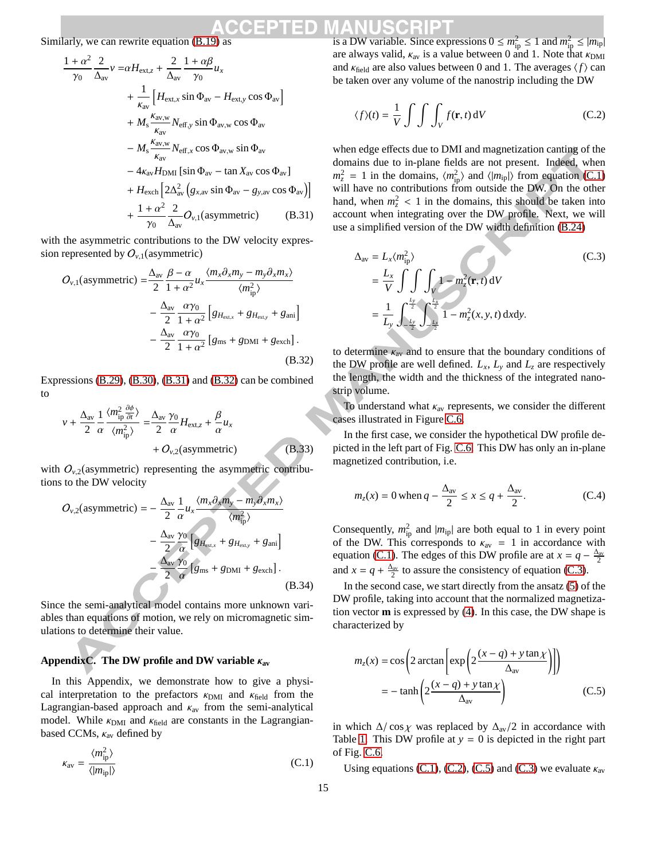Similarly, we can rewrite equation (B.19) as

$$
\frac{1+\alpha^2}{\gamma_0} \frac{2}{\Delta_{\text{av}}} v = \alpha H_{\text{ext},z} + \frac{2}{\Delta_{\text{av}}} \frac{1+\alpha\beta}{\gamma_0} u_x \n+ \frac{1}{\kappa_{\text{av}}} \left[ H_{\text{ext},x} \sin \Phi_{\text{av}} - H_{\text{ext},y} \cos \Phi_{\text{av}} \right] \n+ M_s \frac{\kappa_{\text{av},w}}{\kappa_{\text{av}}} N_{\text{eff},y} \sin \Phi_{\text{av},w} \cos \Phi_{\text{av}} \n- M_s \frac{\kappa_{\text{av},w}}{\kappa_{\text{av}}} N_{\text{eff},x} \cos \Phi_{\text{av},w} \sin \Phi_{\text{av}} \n- 4\kappa_{\text{av}} H_{\text{DMI}} \left[ \sin \Phi_{\text{av}} - \tan X_{\text{av}} \cos \Phi_{\text{av}} \right] \n+ H_{\text{exch}} \left[ 2\Delta_{\text{av}}^2 \left( g_{x,\text{av}} \sin \Phi_{\text{av}} - g_{y,\text{av}} \cos \Phi_{\text{av}} \right) \right] \n+ \frac{1+\alpha^2}{\gamma_0} \frac{2}{\Delta_{\text{av}}} O_{y,1} \text{(asymmetric)} \qquad (B.31)
$$

with the asymmetric contributions to the DW velocity expression represented by  $O_{\nu,1}$  (asymmetric)

$$
O_{\nu,1}(\text{asymmetric}) = \frac{\Delta_{\text{av}}}{2} \frac{\beta - \alpha}{1 + \alpha^2} u_x \frac{\langle m_x \partial_x m_y - m_y \partial_x m_x \rangle}{\langle m_{\text{ip}}^2 \rangle} - \frac{\Delta_{\text{av}}}{2} \frac{\alpha \gamma_0}{1 + \alpha^2} \left[ g_{H_{\text{ext},x}} + g_{H_{\text{ext},y}} + g_{\text{ani}} \right] - \frac{\Delta_{\text{av}}}{2} \frac{\alpha \gamma_0}{1 + \alpha^2} \left[ g_{\text{ms}} + g_{\text{DMI}} + g_{\text{exch}} \right].
$$
\n(B.32)

Expressions (B.29), (B.30), (B.31) and (B.32) can be combined to

$$
v + \frac{\Delta_{\text{av}}}{2} \frac{1}{\alpha} \frac{\langle m_{\text{ip}}^2 \frac{\partial \phi}{\partial t} \rangle}{\langle m_{\text{ip}}^2 \rangle} = \frac{\Delta_{\text{av}}}{2} \frac{\gamma_0}{\alpha} H_{\text{ext},z} + \frac{\beta}{\alpha} u_x + O_{v,2} \text{(asymmetric)}
$$
(B.33)

with  $O_{v,2}$  (asymmetric) representing the asymmetric contributions to the DW velocity

$$
O_{\nu,2}(\text{asymmetric}) = -\frac{\Delta_{\text{av}}}{2} \frac{1}{\alpha} u_x \frac{\langle m_x \partial_x m_y - m_y \partial_x m_x \rangle}{\langle m_{\text{ip}}^2 \rangle} -\frac{\Delta_{\text{av}} \gamma_0}{2} \left[ g_{H_{\text{ext},x}} + g_{H_{\text{ext},y}} + g_{\text{ani}} \right] -\frac{\Delta_{\text{av}} \gamma_0}{2} \frac{\gamma_0}{\alpha} \left[ g_{\text{ms}} + g_{\text{DMI}} + g_{\text{exch}} \right].
$$
\n(B.34)

Since the semi-analytical model contains more unknown variables than equations of motion, we rely on micromagnetic simulations to determine their value.

## **AppendixC. The DW profile and DW variable** κ**av**

In this Appendix, we demonstrate how to give a physical interpretation to the prefactors  $\kappa_{\text{DMI}}$  and  $\kappa_{\text{field}}$  from the Lagrangian-based approach and  $\kappa_{av}$  from the semi-analytical model. While  $\kappa_{\text{DMI}}$  and  $\kappa_{\text{field}}$  are constants in the Lagrangianbased CCMs,  $\kappa_{av}$  defined by

$$
\kappa_{\rm av} = \frac{\langle m_{\rm ip}^2 \rangle}{\langle |m_{\rm ip}| \rangle} \tag{C.1}
$$

is a DW variable. Since expressions  $0 \le m_{\rm ip}^2 \le 1$  and  $m_{\rm ip}^2 \le |m_{\rm ip}|$ are always valid,  $\kappa_{av}$  is a value between 0 and 1. Note that  $\kappa_{\rm DMI}$ and  $\kappa_{\text{field}}$  are also values between 0 and 1. The averages  $\langle f \rangle$  can be taken over any volume of the nanostrip including the DW

$$
\langle f \rangle(t) = \frac{1}{V} \int \int \int_{V} f(\mathbf{r}, t) \, \mathrm{d}V \tag{C.2}
$$

when edge effects due to DMI and magnetization canting of the domains due to in-plane fields are not present. Indeed, when  $m_z^2 = 1$  in the domains,  $\langle m_{\text{ip}}^2 \rangle$  and  $\langle |m_{\text{ip}}| \rangle$  from equation (C.1) will have no contributions from outside the DW. On the other hand, when  $m_z^2$  < 1 in the domains, this should be taken into account when integrating over the DW profile. Next, we will use a simplified version of the DW width definition (B.24)

$$
\Delta_{\text{av}} = L_x \langle m_{\text{ip}}^2 \rangle
$$
\n
$$
= \frac{L_x}{V} \int \int \int_V \int_V 1 - m_z^2(\mathbf{r}, t) \, dV
$$
\n
$$
= \frac{1}{L_y} \int_{-\frac{L_y}{2}}^{\frac{L_y}{2}} \int_{-\frac{L_z}{2}}^{\frac{L_z}{2}} 1 - m_z^2(x, y, t) \, dxdy.
$$
\n(C.3)

to determine  $\kappa_{av}$  and to ensure that the boundary conditions of the DW profile are well defined.  $L_x$ ,  $L_y$  and  $L_z$  are respectively the length, the width and the thickness of the integrated nanostrip volume.

To understand what  $\kappa_{av}$  represents, we consider the different cases illustrated in Figure C.6.

In the first case, we consider the hypothetical DW profile depicted in the left part of Fig. C.6. This DW has only an in-plane magnetized contribution, i.e.

$$
m_z(x) = 0 \text{ when } q - \frac{\Delta_{\text{av}}}{2} \le x \le q + \frac{\Delta_{\text{av}}}{2}.
$$
 (C.4)

Consequently,  $m_{\text{ip}}^2$  and  $|m_{\text{ip}}|$  are both equal to 1 in every point of the DW. This corresponds to  $\kappa_{av} = 1$  in accordance with equation (C.1). The edges of this DW profile are at  $x = q - \frac{\Delta_{av}}{2}$ and  $x = q + \frac{\Delta_{av}}{2}$  to assure the consistency of equation (C.3).

In the second case, we start directly from the ansatz (5) of the DW profile, taking into account that the normalized magnetization vector **m** is expressed by (4). In this case, the DW shape is characterized by

$$
m_z(x) = \cos\left(2 \arctan\left[\exp\left(2\frac{(x-q) + y \tan\chi}{\Delta_{\text{av}}}\right)\right]\right)
$$

$$
= -\tanh\left(2\frac{(x-q) + y \tan\chi}{\Delta_{\text{av}}}\right) \tag{C.5}
$$

in which  $\Delta/\cos \chi$  was replaced by  $\Delta_{av}/2$  in accordance with Table 1. This DW profile at  $y = 0$  is depicted in the right part of Fig. C.6.

Using equations (C.1), (C.2), (C.5) and (C.3) we evaluate  $\kappa_{av}$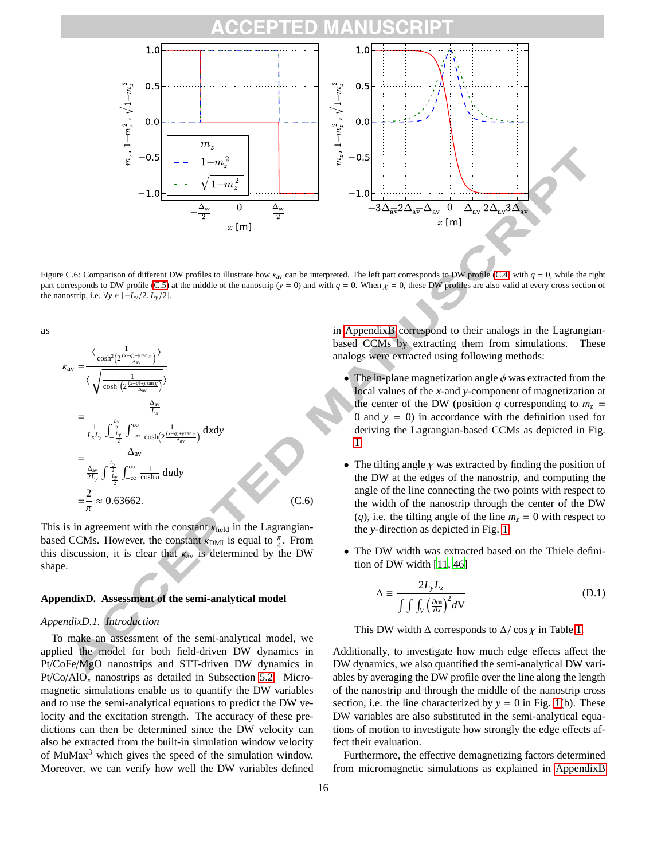

Figure C.6: Comparison of different DW profiles to illustrate how  $\kappa_{av}$  can be interpreted. The left part corresponds to DW profile (C.4) with  $q = 0$ , while the right part corresponds to DW profile (C.5) at the middle of the nanostrip (*y* = 0) and with  $q = 0$ . When  $\chi = 0$ , these DW profiles are also valid at every cross section of the nanostrip, i.e.  $\forall y \in [-L_v/2, L_v/2]$ .

as

 $\kappa$ 

av = 
$$
\frac{\langle \frac{1}{\cosh^2(2\frac{(x-q)+y\tan x}{\Delta_{av}})} \rangle}{\langle \sqrt{\frac{1}{\cosh^2(2\frac{(x-q)+y\tan x}{\Delta_{av}})}} \rangle}
$$
  
= 
$$
\frac{\frac{\Delta_{av}}{L_x}}{\frac{1}{L_xL_y} \int_{-\frac{L_y}{2}}^{\frac{L_y}{2}} \int_{-\infty}^{\infty} \frac{1}{\cosh(2\frac{(x-q)+y\tan x}{\Delta_{av}})}} dxdy
$$
  
= 
$$
\frac{\Delta_{av}}{\frac{\Delta_{av}}{2L_y} \int_{-\frac{L_y}{2}}^{\frac{L_y}{2}} \int_{-\infty}^{\infty} \frac{1}{\cosh u} du dy}
$$
  
= 
$$
\frac{2}{\pi} \approx 0.63662.
$$
 (C.6)

This is in agreement with the constant  $\kappa_{\text{field}}$  in the Lagrangianbased CCMs. However, the constant  $\kappa_{\rm DMI}$  is equal to  $\frac{\pi}{4}$ . From this discussion, it is clear that  $k_{av}$  is determined by the DW shape.

## **AppendixD. Assessment of the semi-analytical model**

## *AppendixD.1. Introduction*

To make an assessment of the semi-analytical model, we applied the model for both field-driven DW dynamics in Pt/CoFe/MgO nanostrips and STT-driven DW dynamics in Pt/Co/AlO*<sup>x</sup>* nanostrips as detailed in Subsection 5.2. Micromagnetic simulations enable us to quantify the DW variables and to use the semi-analytical equations to predict the DW velocity and the excitation strength. The accuracy of these predictions can then be determined since the DW velocity can also be extracted from the built-in simulation window velocity of MuMax<sup>3</sup> which gives the speed of the simulation window. Moreover, we can verify how well the DW variables defined in AppendixB correspond to their analogs in the Lagrangianbased CCMs by extracting them from simulations. These analogs were extracted using following methods:

- The in-plane magnetization angle  $\phi$  was extracted from the local values of the *x*-and *y*-component of magnetization at the center of the DW (position *q* corresponding to  $m<sub>z</sub>$  = 0 and  $y = 0$ ) in accordance with the definition used for deriving the Lagrangian-based CCMs as depicted in Fig. 1.
- The tilting angle  $\chi$  was extracted by finding the position of the DW at the edges of the nanostrip, and computing the angle of the line connecting the two points with respect to the width of the nanostrip through the center of the DW (*q*), i.e. the tilting angle of the line  $m<sub>z</sub> = 0$  with respect to the *y*-direction as depicted in Fig. 1.
- The DW width was extracted based on the Thiele definition of DW width [11, 46]

$$
\Delta \equiv \frac{2L_y L_z}{\int \int \int_V \left(\frac{\partial \mathbf{m}}{\partial x}\right)^2 dV}
$$
 (D.1)

This DW width  $\Delta$  corresponds to  $\Delta/\cos \chi$  in Table 1.

Additionally, to investigate how much edge effects affect the DW dynamics, we also quantified the semi-analytical DW variables by averaging the DW profile over the line along the length of the nanostrip and through the middle of the nanostrip cross section, i.e. the line characterized by  $y = 0$  in Fig. 1(b). These DW variables are also substituted in the semi-analytical equations of motion to investigate how strongly the edge effects affect their evaluation.

Furthermore, the effective demagnetizing factors determined from micromagnetic simulations as explained in AppendixB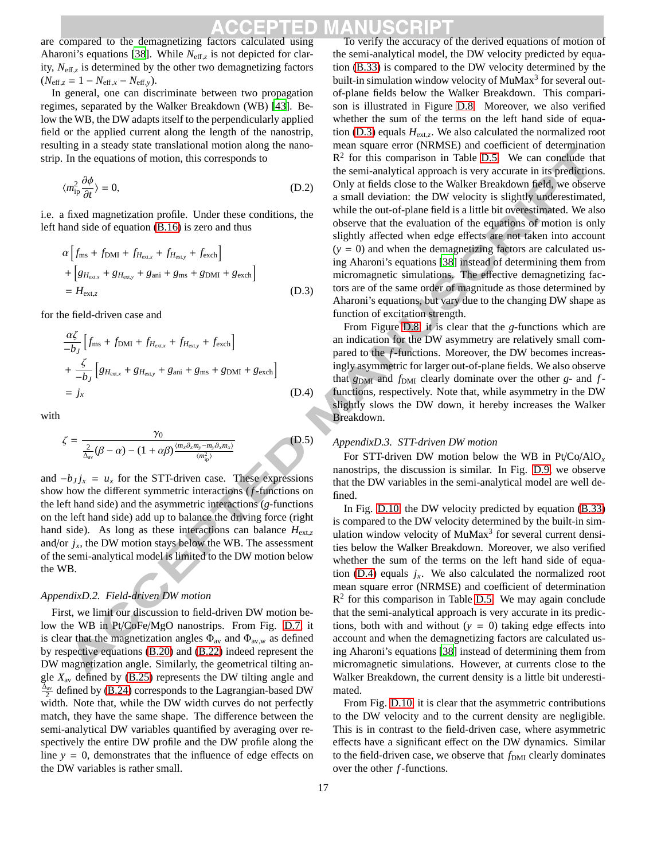are compared to the demagnetizing factors calculated using Aharoni's equations [38]. While  $N_{\text{eff},z}$  is not depicted for clarity, *N*eff,*<sup>z</sup>* is determined by the other two demagnetizing factors  $(N_{\text{eff},z} = 1 - N_{\text{eff},x} - N_{\text{eff},y}).$ 

In general, one can discriminate between two propagation regimes, separated by the Walker Breakdown (WB) [43]. Below the WB, the DW adapts itself to the perpendicularly applied field or the applied current along the length of the nanostrip, resulting in a steady state translational motion along the nanostrip. In the equations of motion, this corresponds to

$$
\langle m_{\text{ip}}^2 \frac{\partial \phi}{\partial t} \rangle = 0,\tag{D.2}
$$

i.e. a fixed magnetization profile. Under these conditions, the left hand side of equation (B.16) is zero and thus

$$
\alpha \left[ f_{\text{ms}} + f_{\text{DMI}} + f_{H_{\text{ext,x}}} + f_{H_{\text{ext,y}}} + f_{\text{exch}} \right]
$$
  
+ 
$$
\left[ g_{H_{\text{ext,x}}} + g_{H_{\text{ext,y}}} + g_{\text{ani}} + g_{\text{ms}} + g_{\text{DMI}} + g_{\text{exch}} \right]
$$
  
= 
$$
H_{\text{ext,z}}
$$
(D.3)

for the field-driven case and

$$
\frac{\alpha \zeta}{-b_J} \left[ f_{\text{ms}} + f_{\text{DMI}} + f_{H_{\text{ext},x}} + f_{H_{\text{ext},y}} + f_{\text{exch}} \right]
$$
  
+ 
$$
\frac{\zeta}{-b_J} \left[ g_{H_{\text{ext},x}} + g_{H_{\text{ext},y}} + g_{\text{ani}} + g_{\text{ms}} + g_{\text{DMI}} + g_{\text{exch}} \right]
$$
  
= 
$$
j_x
$$
 (D.4)

with

$$
\zeta = \frac{\gamma_0}{\frac{2}{\Delta_{\text{av}}}(\beta - \alpha) - (1 + \alpha \beta)^{\frac{\langle m_x \partial_x m_y - m_y \partial_x m_x \rangle}{\langle m_{\text{ip}}^2 \rangle}}}
$$
(D.5)

and  $-b_Jj_x = u_x$  for the STT-driven case. These expressions show how the different symmetric interactions (*f*-functions on the left hand side) and the asymmetric interactions (*g*-functions on the left hand side) add up to balance the driving force (right hand side). As long as these interactions can balance  $H_{\text{ext,}z}$ and/or  $j_x$ , the DW motion stays below the WB. The assessment of the semi-analytical model is limited to the DW motion below the WB.

### *AppendixD.2. Field-driven DW motion*

First, we limit our discussion to field-driven DW motion below the WB in Pt/CoFe/MgO nanostrips. From Fig. D.7, it is clear that the magnetization angles  $\Phi_{av}$  and  $\Phi_{av,w}$  as defined by respective equations (B.20) and (B.22) indeed represent the DW magnetization angle. Similarly, the geometrical tilting angle  $X_{\text{av}}$  defined by (B.25) represents the DW tilting angle and  $\frac{\Delta_{av}}{2}$  defined by (B.24) corresponds to the Lagrangian-based DW width. Note that, while the DW width curves do not perfectly match, they have the same shape. The difference between the semi-analytical DW variables quantified by averaging over respectively the entire DW profile and the DW profile along the line  $y = 0$ , demonstrates that the influence of edge effects on the DW variables is rather small.

To verify the accuracy of the derived equations of motion of the semi-analytical model, the DW velocity predicted by equation (B.33) is compared to the DW velocity determined by the built-in simulation window velocity of MuMax<sup>3</sup> for several outof-plane fields below the Walker Breakdown. This comparison is illustrated in Figure D.8. Moreover, we also verified whether the sum of the terms on the left hand side of equation (D.3) equals *H*ext,*<sup>z</sup>* . We also calculated the normalized root mean square error (NRMSE) and coefficient of determination  $R<sup>2</sup>$  for this comparison in Table D.5. We can conclude that the semi-analytical approach is very accurate in its predictions. Only at fields close to the Walker Breakdown field, we observe a small deviation: the DW velocity is slightly underestimated, while the out-of-plane field is a little bit overestimated. We also observe that the evaluation of the equations of motion is only slightly affected when edge effects are not taken into account  $(y = 0)$  and when the demagnetizing factors are calculated using Aharoni's equations [38] instead of determining them from micromagnetic simulations. The effective demagnetizing factors are of the same order of magnitude as those determined by Aharoni's equations, but vary due to the changing DW shape as function of excitation strength.

From Figure D.8, it is clear that the *g*-functions which are an indication for the DW asymmetry are relatively small compared to the *f*-functions. Moreover, the DW becomes increasingly asymmetric for larger out-of-plane fields. We also observe that  $g_{\text{DMI}}$  and  $f_{\text{DMI}}$  clearly dominate over the other *g*- and *f*functions, respectively. Note that, while asymmetry in the DW slightly slows the DW down, it hereby increases the Walker Breakdown.

### *AppendixD.3. STT-driven DW motion*

For STT-driven DW motion below the WB in Pt/Co/AlO*<sup>x</sup>* nanostrips, the discussion is similar. In Fig. D.9, we observe that the DW variables in the semi-analytical model are well defined.

In Fig. D.10, the DW velocity predicted by equation (B.33) is compared to the DW velocity determined by the built-in simulation window velocity of MuMax<sup>3</sup> for several current densities below the Walker Breakdown. Moreover, we also verified whether the sum of the terms on the left hand side of equation (D.4) equals  $j_x$ . We also calculated the normalized root mean square error (NRMSE) and coefficient of determination  $R<sup>2</sup>$  for this comparison in Table D.5. We may again conclude that the semi-analytical approach is very accurate in its predictions, both with and without  $(y = 0)$  taking edge effects into account and when the demagnetizing factors are calculated using Aharoni's equations [38] instead of determining them from micromagnetic simulations. However, at currents close to the Walker Breakdown, the current density is a little bit underestimated.

From Fig. D.10, it is clear that the asymmetric contributions to the DW velocity and to the current density are negligible. This is in contrast to the field-driven case, where asymmetric effects have a significant effect on the DW dynamics. Similar to the field-driven case, we observe that  $f_{DMI}$  clearly dominates over the other *f*-functions.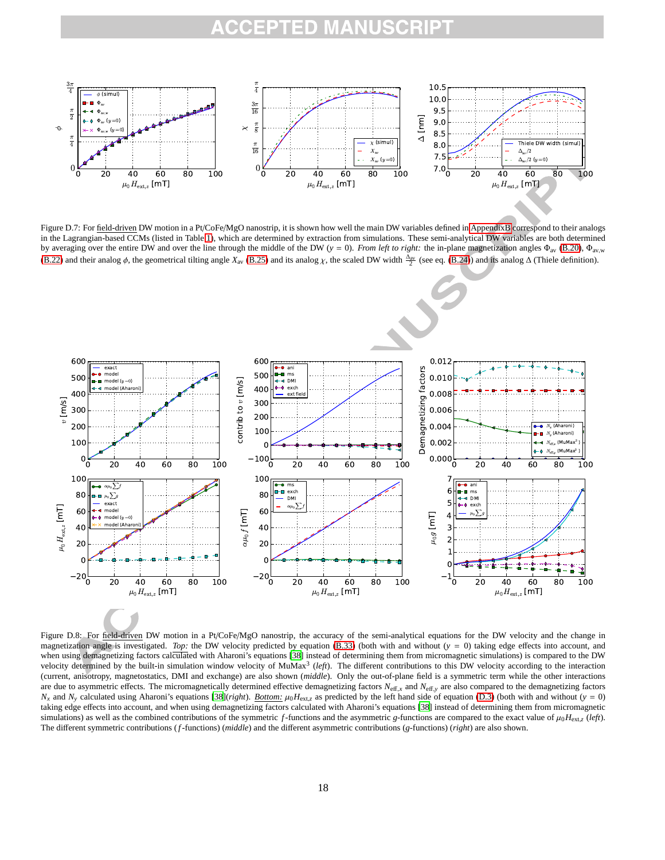

Figure D.7: For field-driven DW motion in a Pt/CoFe/MgO nanostrip, it is shown how well the main DW variables defined in AppendixB correspond to their analogs in the Lagrangian-based CCMs (listed in Table 1), which are determined by extraction from simulations. These semi-analytical DW variables are both determined by averaging over the entire DW and over the line through the middle of the DW ( $y = 0$ ). *From left to right:* the in-plane magnetization angles  $\Phi_{av}$  (B.20),  $\Phi_{av,w}$ (B.22) and their analog  $\phi$ , the geometrical tilting angle  $X_{\text{av}}$  (B.25) and its analog  $\chi$ , the scaled DW width  $\frac{\Delta_{\text{av}}}{2}$  (see eq. (B.24)) and its analog  $\Delta$  (Thiele definition).



Figure D.8: For field-driven DW motion in a Pt/CoFe/MgO nanostrip, the accuracy of the semi-analytical equations for the DW velocity and the change in magnetization angle is investigated. *Top*: the DW velocity predicted by equation (B.33) (both with and without  $(y = 0)$  taking edge effects into account, and when using demagnetizing factors calculated with Aharoni's equations [38] instead of determining them from micromagnetic simulations) is compared to the DW velocity determined by the built-in simulation window velocity of MuMax<sup>3</sup> (*left*). The different contributions to this DW velocity according to the interaction (current, anisotropy, magnetostatics, DMI and exchange) are also shown (*middle*). Only the out-of-plane field is a symmetric term while the other interactions are due to asymmetric effects. The micromagnetically determined effective demagnetizing factors  $N_{\text{eff},x}$  and  $N_{\text{eff},y}$  are also compared to the demagnetizing factors *N<sub>x</sub>* and *N<sub>y</sub>* calculated using Aharoni's equations [38](*right*). *Bottom:*  $\mu_0 H_{\text{ext},z}$  as predicted by the left hand side of equation (D.3) (both with and without (*y* = 0) taking edge effects into account, and when using demagnetizing factors calculated with Aharoni's equations [38] instead of determining them from micromagnetic simulations) as well as the combined contributions of the symmetric *f*-functions and the asymmetric *g*-functions are compared to the exact value of  $\mu_0 H_{\text{ext},z}$  (*left*). The different symmetric contributions (*f*-functions) (*middle*) and the different asymmetric contributions (*g*-functions) (*right*) are also shown.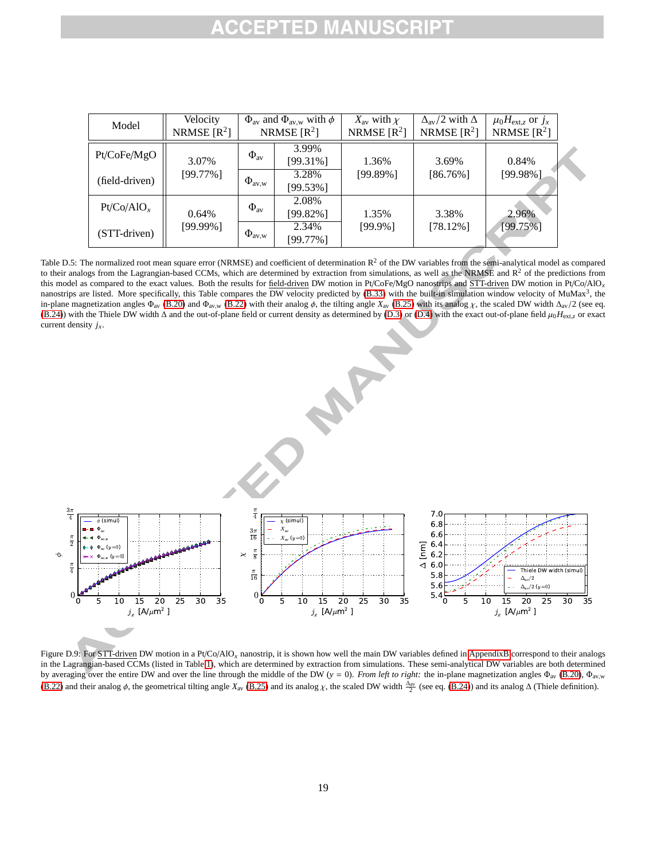| Model          | Velocity<br>NRMSE $[R^2]$ | $\Phi_{\text{av}}$ and $\Phi_{\text{av,w}}$ with $\phi$<br>NRMSE $[R^2]$ |                      | $X_{\text{av}}$ with $\chi$<br>NRMSE $[R^2]$ | $\Delta_{\rm av}/2$ with $\Delta$<br>NRMSE $[R^2]$ | $\mu_0 H_{\text{ext},z}$ or $j_x$<br>NRMSE $[R^2]$ |
|----------------|---------------------------|--------------------------------------------------------------------------|----------------------|----------------------------------------------|----------------------------------------------------|----------------------------------------------------|
| Pt/CoFe/MgO    | 3.07%<br>$[99.77\%]$      | $\Phi_{\text{av}}$                                                       | 3.99%<br>$[99.31\%]$ | 1.36%                                        | 3.69%                                              | 0.84%                                              |
| (field-driven) |                           | $\Phi_{\text{av},w}$                                                     | 3.28%<br>$[99.53\%]$ | $[99.89\%]$                                  | $[86.76\%]$                                        | $[99.98\%]$                                        |
| $Pt/Co/AlO_x$  | 0.64%<br>$[99.99\%]$      | $\Phi_{\rm av}$                                                          | 2.08%<br>$[99.82\%]$ | 1.35%                                        | 3.38%                                              | 2.96%                                              |
| (STT-driven)   |                           | $\Phi_{\text{av},w}$                                                     | 2.34%<br>$[99.77\%]$ | [99.9%]                                      | $[78.12\%]$                                        | $[99.75\%]$                                        |

Table D.5: The normalized root mean square error (NRMSE) and coefficient of determination  $R^2$  of the DW variables from the semi-analytical model as compared to their analogs from the Lagrangian-based CCMs, which are determined by extraction from simulations, as well as the NRMSE and  $R<sup>2</sup>$  of the predictions from this model as compared to the exact values. Both the results for field-driven DW motion in Pt/CoFe/MgO nanostrips and STT-driven DW motion in Pt/Co/AlO*<sup>x</sup>* nanostrips are listed. More specifically, this Table compares the DW velocity predicted by  $(B.33)$  with the built-in simulation window velocity of MuMax<sup>3</sup>, the in-plane magnetization angles  $\Phi_{av}$  (B.20) and  $\Phi_{av,w}$  (B.22) with their analog  $\phi$ , the tilting angle  $X_{av}$  (B.25) with its analog  $\chi$ , the scaled DW width  $\Delta_{av}/2$  (see eq. (B.24)) with the Thiele DW width ∆ and the out-of-plane field or current density as determined by (D.3) or (D.4) with the exact out-of-plane field µ0*H*ext,*<sup>z</sup>* or exact current density *jx*.



Figure D.9: For STT-driven DW motion in a Pt/Co/AlO<sub>x</sub> nanostrip, it is shown how well the main DW variables defined in AppendixB correspond to their analogs in the Lagrangian-based CCMs (listed in Table 1), which are determined by extraction from simulations. These semi-analytical DW variables are both determined by averaging over the entire DW and over the line through the middle of the DW ( $y = 0$ ). *From left to right:* the in-plane magnetization angles  $\Phi_{av}$  (B.20),  $\Phi_{av,w}$ (B.22) and their analog  $\phi$ , the geometrical tilting angle  $X_{\text{av}}$  (B.25) and its analog  $\chi$ , the scaled DW width  $\frac{\Delta_{\text{av}}}{2}$  (see eq. (B.24)) and its analog  $\Delta$  (Thiele definition).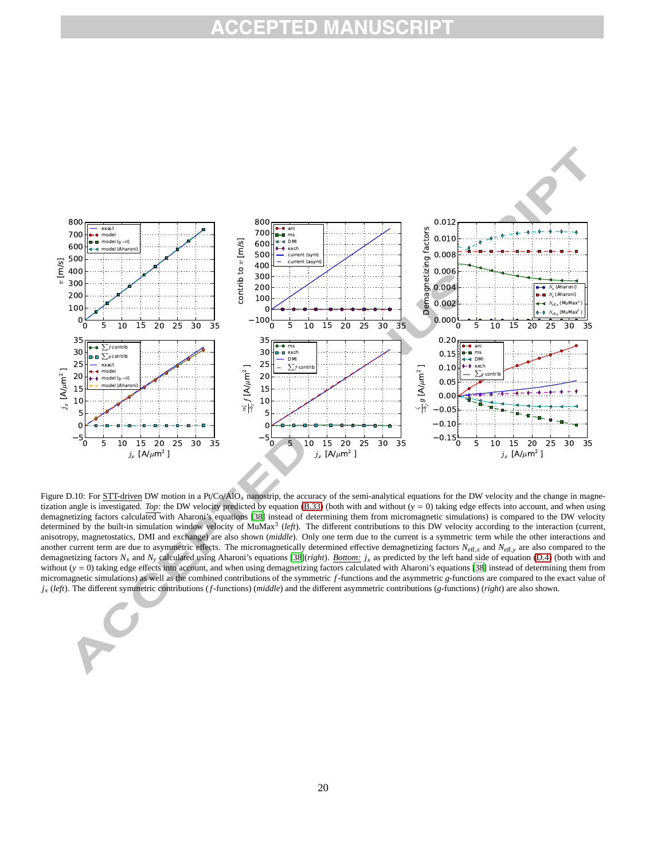

Figure D.10: For STT-driven DW motion in a Pt/Co/AlO<sub>x</sub> nanostrip, the accuracy of the semi-analytical equations for the DW velocity and the change in magnetization angle is investigated. *Top:* the DW velocity predicted by equation (B.33) (both with and without (*y* = 0) taking edge effects into account, and when using demagnetizing factors calculated with Aharoni's equations [38] instead of determining them from micromagnetic simulations) is compared to the DW velocity determined by the built-in simulation window velocity of MuMax<sup>3</sup> (left). The different contributions to this DW velocity according to the interaction (current, anisotropy, magnetostatics, DMI and exchange) are also shown (*middle*). Only one term due to the current is a symmetric term while the other interactions and another current term are due to asymmetric effects. The micromagnetically determined effective demagnetizing factors  $N_{\text{eff},x}$  and  $N_{\text{eff},y}$  are also compared to the demagnetizing factors  $N_x$  and  $N_y$  calculated using Aharoni's equations [38](*right*). *Bottom:*  $j_x$  as predicted by the left hand side of equation (D.4) (both with and without (*y* = 0) taking edge effects into account, and when using demagnetizing factors calculated with Aharoni's equations [38] instead of determining them from micromagnetic simulations) as well as the combined contributions of the symmetric *f*-functions and the asymmetric *g*-functions are compared to the exact value of *j<sup>x</sup>* (*left*). The different symmetric contributions (*f*-functions) (*middle*) and the different asymmetric contributions (*g*-functions) (*right*) are also shown.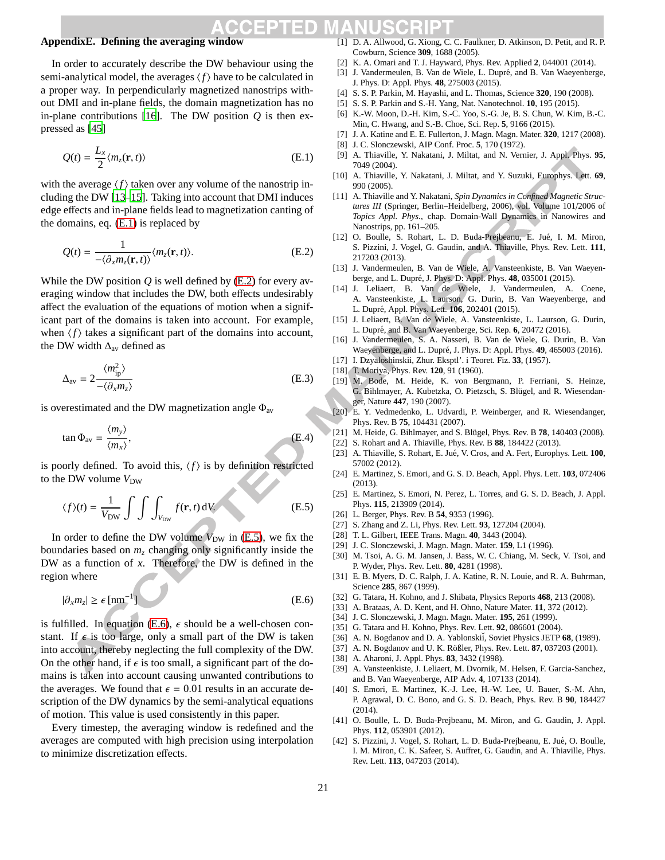## **AppendixE. Defining the averaging window**

In order to accurately describe the DW behaviour using the semi-analytical model, the averages  $\langle f \rangle$  have to be calculated in a proper way. In perpendicularly magnetized nanostrips without DMI and in-plane fields, the domain magnetization has no in-plane contributions [16]. The DW position *Q* is then expressed as [45]

$$
Q(t) = \frac{L_x}{2} \langle m_z(\mathbf{r}, t) \rangle
$$
 (E.1)

with the average  $\langle f \rangle$  taken over any volume of the nanostrip including the DW [13–15]. Taking into account that DMI induces edge effects and in-plane fields lead to magnetization canting of the domains, eq. (E.1) is replaced by

$$
Q(t) = \frac{1}{-\langle \partial_x m_z(\mathbf{r}, t) \rangle} \langle m_z(\mathbf{r}, t) \rangle.
$$
 (E.2)

While the DW position *Q* is well defined by (E.2) for every averaging window that includes the DW, both effects undesirably affect the evaluation of the equations of motion when a significant part of the domains is taken into account. For example, when  $\langle f \rangle$  takes a significant part of the domains into account, the DW width  $\Delta_{\text{av}}$  defined as

$$
\Delta_{\rm av} = 2 \frac{\langle m_{\rm ip}^2 \rangle}{-\langle \partial_x m_z \rangle} \tag{E.3}
$$

is overestimated and the DW magnetization angle  $\Phi_{av}$ 

$$
\tan \Phi_{\text{av}} = \frac{\langle m_{y} \rangle}{\langle m_{x} \rangle},\tag{E.4}
$$

is poorly defined. To avoid this,  $\langle f \rangle$  is by definition restricted to the DW volume  $V_{\text{DW}}$ 

$$
\langle f \rangle(t) = \frac{1}{V_{\text{DW}}} \int \int \int_{V_{\text{DW}}} f(\mathbf{r}, t) \, dV.
$$
 (E.5)

In order to define the DW volume  $V_{\text{DW}}$  in (E.5), we fix the boundaries based on *m<sup>z</sup>* changing only significantly inside the DW as a function of *x*. Therefore, the DW is defined in the region where

$$
|\partial_x m_z| \ge \epsilon \, [\text{nm}^{-1}] \tag{E.6}
$$

is fulfilled. In equation (E.6),  $\epsilon$  should be a well-chosen constant. If  $\epsilon$  is too large, only a small part of the DW is taken into account, thereby neglecting the full complexity of the DW. On the other hand, if  $\epsilon$  is too small, a significant part of the domains is taken into account causing unwanted contributions to the averages. We found that  $\epsilon = 0.01$  results in an accurate description of the DW dynamics by the semi-analytical equations of motion. This value is used consistently in this paper.

Every timestep, the averaging window is redefined and the averages are computed with high precision using interpolation to minimize discretization effects.

- [1] D. A. Allwood, G. Xiong, C. C. Faulkner, D. Atkinson, D. Petit, and R. P. Cowburn, Science **309**, 1688 (2005).
- [2] K. A. Omari and T. J. Hayward, Phys. Rev. Applied **2**, 044001 (2014).
- [3] J. Vandermeulen, B. Van de Wiele, L. Dupré, and B. Van Waeyenberge, J. Phys. D: Appl. Phys. **48**, 275003 (2015).
- [4] S. S. P. Parkin, M. Hayashi, and L. Thomas, Science **320**, 190 (2008).
- [5] S. S. P. Parkin and S.-H. Yang, Nat. Nanotechnol. **10**, 195 (2015).
- [6] K.-W. Moon, D.-H. Kim, S.-C. Yoo, S.-G. Je, B. S. Chun, W. Kim, B.-C. Min, C. Hwang, and S.-B. Choe, Sci. Rep. **5**, 9166 (2015).
- [7] J. A. Katine and E. E. Fullerton, J. Magn. Magn. Mater. **320**, 1217 (2008).
- [8] J. C. Slonczewski, AIP Conf. Proc. **5**, 170 (1972).
- [9] A. Thiaville, Y. Nakatani, J. Miltat, and N. Vernier, J. Appl. Phys. **95**, 7049 (2004).
- [10] A. Thiaville, Y. Nakatani, J. Miltat, and Y. Suzuki, Europhys. Lett. **69**, 990 (2005).
- [11] A. Thiaville and Y. Nakatani, *Spin Dynamics in Confined Magnetic Structures III* (Springer, Berlin–Heidelberg, 2006), vol. Volume 101/2006 of *Topics Appl. Phys.*, chap. Domain-Wall Dynamics in Nanowires and Nanostrips, pp. 161–205.
- [12] O. Boulle, S. Rohart, L. D. Buda-Prejbeanu, E. Jué, I. M. Miron, S. Pizzini, J. Vogel, G. Gaudin, and A. Thiaville, Phys. Rev. Lett. **111**, 217203 (2013).
- [13] J. Vandermeulen, B. Van de Wiele, A. Vansteenkiste, B. Van Waeyenberge, and L. Dupré, J. Phys. D: Appl. Phys.  $48$ , 035001 (2015).
- [14] J. Leliaert, B. Van de Wiele, J. Vandermeulen, A. Coene, A. Vansteenkiste, L. Laurson, G. Durin, B. Van Waeyenberge, and L. Dupré, Appl. Phys. Lett. **106**, 202401 (2015).
- [15] J. Leliaert, B. Van de Wiele, A. Vansteenkiste, L. Laurson, G. Durin, L. Dupré, and B. Van Waeyenberge, Sci. Rep. 6, 20472 (2016).
- [16] J. Vandermeulen, S. A. Nasseri, B. Van de Wiele, G. Durin, B. Van Waeyenberge, and L. Dupré, J. Phys. D: Appl. Phys. 49, 465003 (2016).
- [17] I. Dzyaloshinskii, Zhur. Eksptl'. i Teoret. Fiz. **33**, (1957).
- [18] T. Moriya, Phys. Rev. **120**, 91 (1960).
- [19] M. Bode, M. Heide, K. von Bergmann, P. Ferriani, S. Heinze, G. Bihlmayer, A. Kubetzka, O. Pietzsch, S. Blügel, and R. Wiesendanger, Nature **447**, 190 (2007).
- [20] E. Y. Vedmedenko, L. Udvardi, P. Weinberger, and R. Wiesendanger, Phys. Rev. B **75**, 104431 (2007).
- [21] M. Heide, G. Bihlmayer, and S. Blügel, Phys. Rev. B 78, 140403 (2008).
- [22] S. Rohart and A. Thiaville, Phys. Rev. B **88**, 184422 (2013).
- [23] A. Thiaville, S. Rohart, E. Jué, V. Cros, and A. Fert, Europhys. Lett.  $100$ , 57002 (2012).
- [24] E. Martinez, S. Emori, and G. S. D. Beach, Appl. Phys. Lett. **103**, 072406 (2013).
- [25] E. Martinez, S. Emori, N. Perez, L. Torres, and G. S. D. Beach, J. Appl. Phys. **115**, 213909 (2014).
- [26] L. Berger, Phys. Rev. B **54**, 9353 (1996).
- [27] S. Zhang and Z. Li, Phys. Rev. Lett. **93**, 127204 (2004).
- [28] T. L. Gilbert, IEEE Trans. Magn. **40**, 3443 (2004).
- [29] J. C. Slonczewski, J. Magn. Magn. Mater. **159**, L1 (1996).
- [30] M. Tsoi, A. G. M. Jansen, J. Bass, W. C. Chiang, M. Seck, V. Tsoi, and P. Wyder, Phys. Rev. Lett. **80**, 4281 (1998).
- [31] E. B. Myers, D. C. Ralph, J. A. Katine, R. N. Louie, and R. A. Buhrman, Science **285**, 867 (1999).
- [32] G. Tatara, H. Kohno, and J. Shibata, Physics Reports **468**, 213 (2008).
- [33] A. Brataas, A. D. Kent, and H. Ohno, Nature Mater. **11**, 372 (2012).
- [34] J. C. Slonczewski, J. Magn. Magn. Mater. **195**, 261 (1999).
- [35] G. Tatara and H. Kohno, Phys. Rev. Lett. **92**, 086601 (2004).
- [36] A. N. Bogdanov and D. A. Yablonskii, Soviet Physics JETP 68, (1989).
- [37] A. N. Bogdanov and U. K. Rößler, Phys. Rev. Lett. **87**, 037203 (2001).
- [38] A. Aharoni, J. Appl. Phys. **83**, 3432 (1998).
- [39] A. Vansteenkiste, J. Leliaert, M. Dvornik, M. Helsen, F. Garcia-Sanchez, and B. Van Waeyenberge, AIP Adv. **4**, 107133 (2014).
- [40] S. Emori, E. Martinez, K.-J. Lee, H.-W. Lee, U. Bauer, S.-M. Ahn, P. Agrawal, D. C. Bono, and G. S. D. Beach, Phys. Rev. B **90**, 184427 (2014).
- [41] O. Boulle, L. D. Buda-Prejbeanu, M. Miron, and G. Gaudin, J. Appl. Phys. **112**, 053901 (2012).
- [42] S. Pizzini, J. Vogel, S. Rohart, L. D. Buda-Prejbeanu, E. Jué, O. Boulle, I. M. Miron, C. K. Safeer, S. Auffret, G. Gaudin, and A. Thiaville, Phys. Rev. Lett. **113**, 047203 (2014).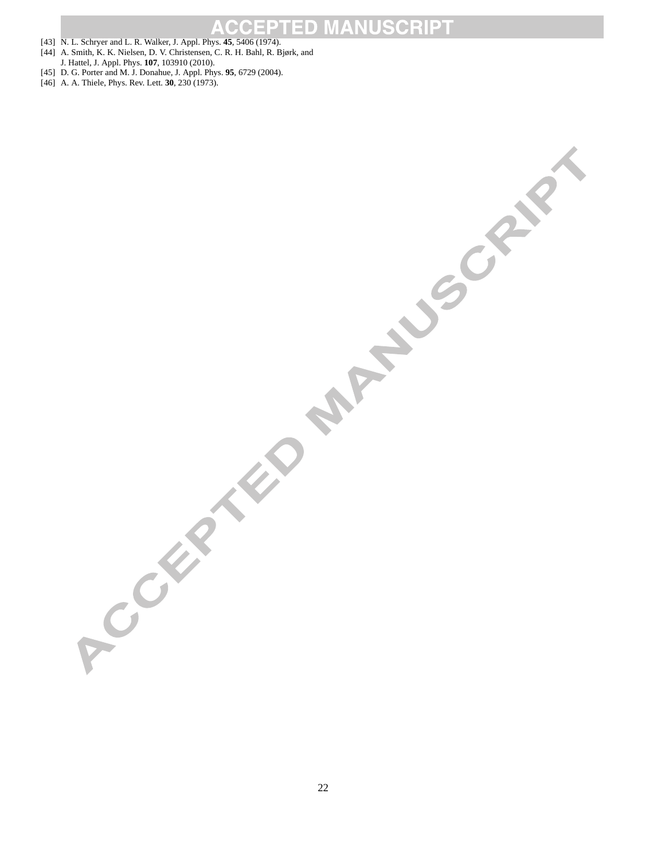#### $\begin{array}{c} \hline \end{array}$  $\bigcap$

- [43] N. L. Schryer and L. R. Walker, J. Appl. Phys. **45**, 5406 (1974).
- [44] A. Smith, K. K. Nielsen, D. V. Christensen, C. R. H. Bahl, R. Bjørk, and J. Hattel, J. Appl. Phys. **107**, 103910 (2010).
- [45] D. G. Porter and M. J. Donahue, J. Appl. Phys. **95**, 6729 (2004).
- [46] A. A. Thiele, Phys. Rev. Lett. **30**, 230 (1973).

ACCEPTED MANUSCRIPT